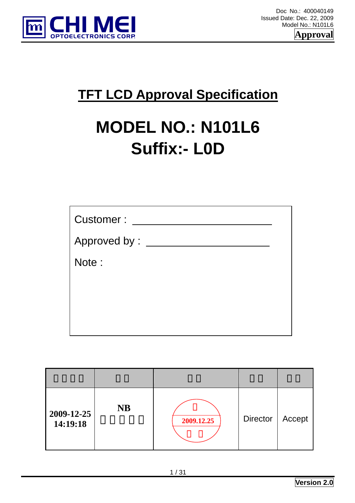



## **TFT LCD Approval Specification**

# **MODEL NO.: N101L6 Suffix:- L0D**

| Customer:       |  |
|-----------------|--|
| Approved by : _ |  |
| Note:           |  |
|                 |  |
|                 |  |
|                 |  |

| $2009 - 12 - 25$<br>14:19:18 | <b>NB</b> | 2009.12.25 | <b>Director</b> | Accept |
|------------------------------|-----------|------------|-----------------|--------|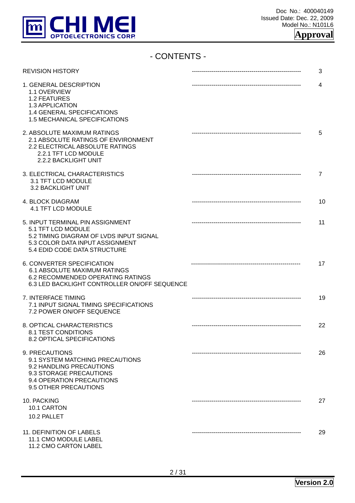

## - CONTENTS -

| <b>REVISION HISTORY</b>                                                                                                                                              | 3  |
|----------------------------------------------------------------------------------------------------------------------------------------------------------------------|----|
| 1. GENERAL DESCRIPTION<br>1.1 OVERVIEW<br>1.2 FEATURES<br>1.3 APPLICATION<br>1.4 GENERAL SPECIFICATIONS<br>1.5 MECHANICAL SPECIFICATIONS                             | 4  |
| 2. ABSOLUTE MAXIMUM RATINGS<br>2.1 ABSOLUTE RATINGS OF ENVIRONMENT<br>2.2 ELECTRICAL ABSOLUTE RATINGS<br>2.2.1 TFT LCD MODULE<br>2.2.2 BACKLIGHT UNIT                | 5  |
| 3. ELECTRICAL CHARACTERISTICS<br>3.1 TFT LCD MODULE<br>3.2 BACKLIGHT UNIT                                                                                            | 7  |
| 4. BLOCK DIAGRAM<br>4.1 TFT LCD MODULE                                                                                                                               | 10 |
| 5. INPUT TERMINAL PIN ASSIGNMENT<br>5.1 TFT LCD MODULE<br>5.2 TIMING DIAGRAM OF LVDS INPUT SIGNAL<br>5.3 COLOR DATA INPUT ASSIGNMENT<br>5.4 EDID CODE DATA STRUCTURE | 11 |
| 6. CONVERTER SPECIFICATION<br><b>6.1 ABSOLUTE MAXIMUM RATINGS</b><br>6.2 RECOMMENDED OPERATING RATINGS<br>6.3 LED BACKLIGHT CONTROLLER ON/OFF SEQUENCE               | 17 |
| 7. INTERFACE TIMING<br>7.1 INPUT SIGNAL TIMING SPECIFICATIONS<br>7.2 POWER ON/OFF SEQUENCE                                                                           | 19 |
| 8. OPTICAL CHARACTERISTICS<br>8.1 TEST CONDITIONS<br><b>8.2 OPTICAL SPECIFICATIONS</b>                                                                               | 22 |
| 9. PRECAUTIONS<br>9.1 SYSTEM MATCHING PRECAUTIONS<br>9.2 HANDLING PRECAUTIONS<br>9.3 STORAGE PRECAUTIONS<br>9.4 OPERATION PRECAUTIONS<br>9.5 OTHER PRECAUTIONS       | 26 |
| 10. PACKING<br>10.1 CARTON<br>10.2 PALLET                                                                                                                            | 27 |
| 11. DEFINITION OF LABELS<br>11.1 CMO MODULE LABEL<br>11.2 CMO CARTON LABEL                                                                                           | 29 |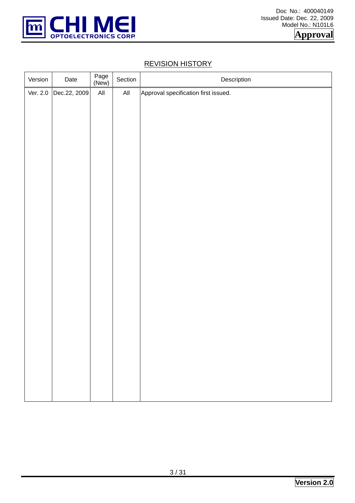

## REVISION HISTORY

| Version  | Date         | Page<br>(New) | Section        | Description                          |
|----------|--------------|---------------|----------------|--------------------------------------|
| Ver. 2.0 | Dec.22, 2009 | All           | $\mathsf{All}$ | Approval specification first issued. |
|          |              |               |                |                                      |
|          |              |               |                |                                      |
|          |              |               |                |                                      |
|          |              |               |                |                                      |
|          |              |               |                |                                      |
|          |              |               |                |                                      |
|          |              |               |                |                                      |
|          |              |               |                |                                      |
|          |              |               |                |                                      |
|          |              |               |                |                                      |
|          |              |               |                |                                      |
|          |              |               |                |                                      |
|          |              |               |                |                                      |
|          |              |               |                |                                      |
|          |              |               |                |                                      |
|          |              |               |                |                                      |
|          |              |               |                |                                      |
|          |              |               |                |                                      |
|          |              |               |                |                                      |
|          |              |               |                |                                      |
|          |              |               |                |                                      |
|          |              |               |                |                                      |
|          |              |               |                |                                      |
|          |              |               |                |                                      |
|          |              |               |                |                                      |
|          |              |               |                |                                      |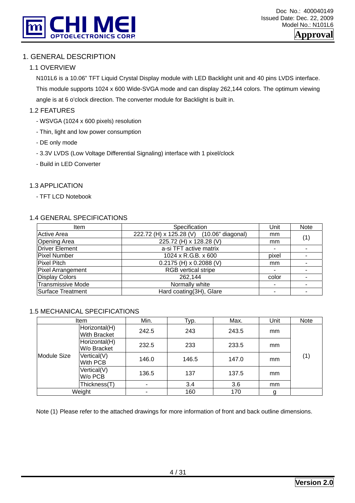

## 1. GENERAL DESCRIPTION

#### 1.1 OVERVIEW

N101L6 is a 10.06" TFT Liquid Crystal Display module with LED Backlight unit and 40 pins LVDS interface.

This module supports 1024 x 600 Wide-SVGA mode and can display 262,144 colors. The optimum viewing angle is at 6 o'clock direction. The converter module for Backlight is built in.

#### 1.2 FEATURES

- WSVGA (1024 x 600 pixels) resolution
- Thin, light and low power consumption
- DE only mode
- 3.3V LVDS (Low Voltage Differential Signaling) interface with 1 pixel/clock
- Build in LED Converter

#### 1.3 APPLICATION

- TFT LCD Notebook

#### 1.4 GENERAL SPECIFICATIONS

| <b>Item</b>              | Specification                             | Unit                  | <b>Note</b>              |
|--------------------------|-------------------------------------------|-----------------------|--------------------------|
| Active Area              | 222.72 (H) x 125.28 (V) (10.06" diagonal) | mm                    | (1)                      |
| <b>Opening Area</b>      | 225.72 (H) x 128.28 (V)                   | mm                    |                          |
| Driver Element           | a-si TFT active matrix                    | ۰                     |                          |
| <b>Pixel Number</b>      | 1024 x R.G.B. x 600                       | pixel                 | $\overline{\phantom{0}}$ |
| Pixel Pitch              | $0.2175$ (H) x 0.2088 (V)                 | mm                    |                          |
| Pixel Arrangement        | <b>RGB</b> vertical stripe                | ۰                     |                          |
| <b>Display Colors</b>    | 262,144                                   | color                 |                          |
| <b>Transmissive Mode</b> | Normally white                            | $\tilde{\phantom{a}}$ | $\overline{\phantom{a}}$ |
| Surface Treatment        | Hard coating(3H), Glare                   |                       |                          |

#### 1.5 MECHANICAL SPECIFICATIONS

|             | Item                                 | Min.  | Typ.  | Max.  | Unit | Note |
|-------------|--------------------------------------|-------|-------|-------|------|------|
|             | Horizontal(H)<br><b>With Bracket</b> | 242.5 | 243   | 243.5 | mm   |      |
|             | Horizontal(H)<br>W/o Bracket         | 232.5 | 233   | 233.5 | mm   |      |
| Module Size | Vertical(V)<br>With PCB              | 146.0 | 146.5 | 147.0 | mm   | (1)  |
|             | Vertical(V)<br>W/o PCB               | 136.5 | 137   | 137.5 | mm   |      |
|             | Thickness(T)                         | ۰     | 3.4   | 3.6   | mm   |      |
|             | Weight                               |       | 160   | 170   |      |      |

Note (1) Please refer to the attached drawings for more information of front and back outline dimensions.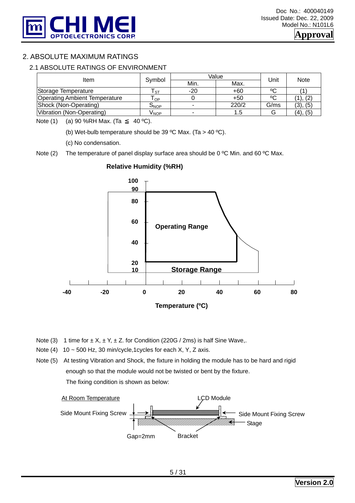

## 2. ABSOLUTE MAXIMUM RATINGS

#### 2.1 ABSOLUTE RATINGS OF ENVIRONMENT

| Item                                 | Symbol | Value                    | Unit  | <b>Note</b> |          |  |
|--------------------------------------|--------|--------------------------|-------|-------------|----------|--|
|                                      |        | Min.                     | Max.  |             |          |  |
| Storage Temperature                  | l st   | $-20$                    | $+60$ | °C          |          |  |
| <b>Operating Ambient Temperature</b> | OP     |                          | $+50$ | ٥C          | I), (2)  |  |
| Shock (Non-Operating)                | Onop   | $\overline{\phantom{a}}$ | 220/2 | G/ms        | (3), (5) |  |
| Vibration (Non-Operating)            | V NOP  | $\overline{\phantom{a}}$ | 1.5   | G           | (4), (5) |  |

Note (1) (a) 90 %RH Max. (Ta 40 °C).

(b) Wet-bulb temperature should be 39 °C Max. (Ta > 40 °C).

(c) No condensation.

Note (2) The temperature of panel display surface area should be 0 °C Min. and 60 °C Max.



#### **Relative Humidity (%RH)**

- Note (3) 1 time for  $\pm X$ ,  $\pm Y$ ,  $\pm Z$ . for Condition (220G / 2ms) is half Sine Wave,.
- Note (4)  $10 \sim 500$  Hz, 30 min/cycle,1cycles for each X, Y, Z axis.
- Note (5) At testing Vibration and Shock, the fixture in holding the module has to be hard and rigid enough so that the module would not be twisted or bent by the fixture. The fixing condition is shown as below:

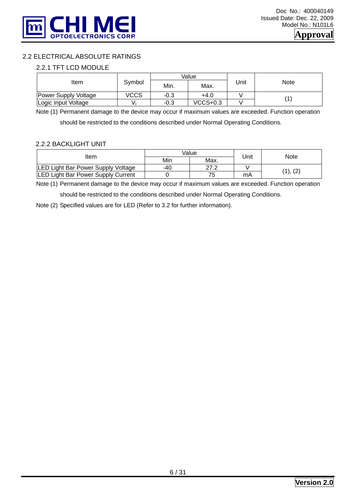

#### 2.2 ELECTRICAL ABSOLUTE RATINGS

#### 2.2.1 TFT LCD MODULE

|                      |        |        | Value    |      |             |  |
|----------------------|--------|--------|----------|------|-------------|--|
| Item                 | Symbol | Min.   | Max.     | Unit | <b>Note</b> |  |
| Power Supply Voltage | vccs   | -0.3   | +4.0     |      |             |  |
| Logic Input Voltage  |        | $-0.3$ | VCCS+0.3 |      |             |  |

Note (1) Permanent damage to the device may occur if maximum values are exceeded. Function operation

should be restricted to the conditions described under Normal Operating Conditions.

#### 2.2.2 BACKLIGHT UNIT

|                                    |     | Value |      | Note    |  |
|------------------------------------|-----|-------|------|---------|--|
| Item                               | Min | Max.  | Unit |         |  |
| LED Light Bar Power Supply Voltage | -40 | ר דר  |      | 1), (2) |  |
| LED Light Bar Power Supply Current |     | 75    | mA   |         |  |

Note (1) Permanent damage to the device may occur if maximum values are exceeded. Function operation

should be restricted to the conditions described under Normal Operating Conditions.

Note (2) Specified values are for LED (Refer to 3.2 for further information).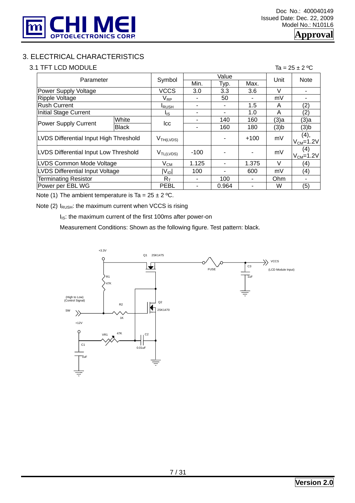

## 3. ELECTRICAL CHARACTERISTICS

#### 3.1 TFT LCD MODULE  $\overline{a} = 25 \pm 2 \degree c$

|                                        | Parameter    |                       |        | Value | Unit   | <b>Note</b> |                         |  |
|----------------------------------------|--------------|-----------------------|--------|-------|--------|-------------|-------------------------|--|
|                                        |              | Symbol                | Min.   | Typ.  | Max.   |             |                         |  |
| Power Supply Voltage                   |              | <b>VCCS</b>           | 3.0    | 3.3   | 3.6    | $\vee$      |                         |  |
| Ripple Voltage                         |              | $V_{RP}$              | ۰      | 50    |        | mV          |                         |  |
| <b>Rush Current</b>                    |              | <b>I</b> RUSH         | ۰      |       | 1.5    | A           | (2)                     |  |
| <b>Initial Stage Current</b>           |              | l <sub>is</sub>       | ۰      | ۰     | 1.0    | A           | (2)                     |  |
|                                        | White        |                       |        | 140   | 160    | (3)a        | (3)a                    |  |
| Power Supply Current                   | <b>Black</b> | lcc                   | ۰      | 160   | 180    | (3)b        | (3)b                    |  |
| LVDS Differential Input High Threshold |              | V <sub>TH(LVDS)</sub> |        |       | $+100$ | mV          | (4),<br>$V_{CM} = 1.2V$ |  |
| LVDS Differential Input Low Threshold  |              | $V_{TL(LVDS)}$        | $-100$ |       |        | mV          | (4)<br>$V_{CM} = 1.2V$  |  |
| LVDS Common Mode Voltage               | $V_{CM}$     | 1.125                 |        | 1.375 | $\vee$ | (4)         |                         |  |
| <b>LVDS Differential Input Voltage</b> | $ V_{ID} $   | 100                   | -      | 600   | mV     | (4)         |                         |  |
| <b>Terminating Resistor</b>            | $R_T$        | ۰                     | 100    |       | Ohm    |             |                         |  |
| Power per EBL WG                       |              | <b>PEBL</b>           |        | 0.964 |        | W           | (5)                     |  |

Note (1) The ambient temperature is Ta =  $25 \pm 2$  °C.

Note (2)  $I<sub>RUSH</sub>:$  the maximum current when VCCS is rising

 $I_{IS}$ : the maximum current of the first 100ms after power-on

Measurement Conditions: Shown as the following figure. Test pattern: black.

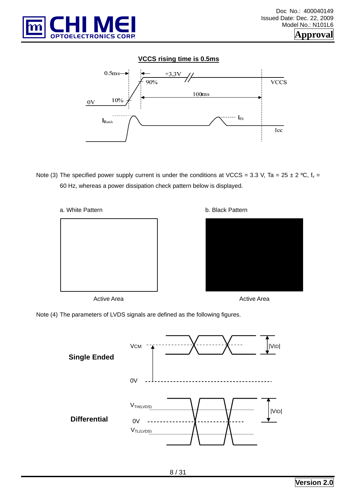

#### **VCCS rising time is 0.5ms**



Note (3) The specified power supply current is under the conditions at VCCS = 3.3 V, Ta = 25 ± 2 °C,  $f_v$  = 60 Hz, whereas a power dissipation check pattern below is displayed.



Active Area

b. Black Pattern



Active Area

Note (4) The parameters of LVDS signals are defined as the following figures.

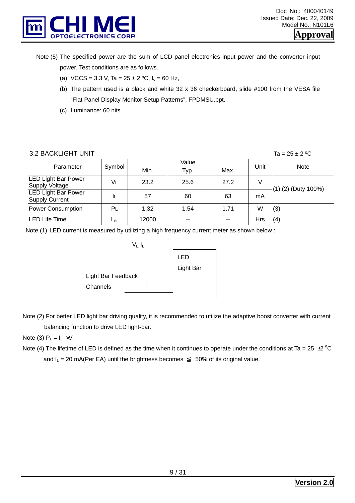

- Note (5) The specified power are the sum of LCD panel electronics input power and the converter input power. Test conditions are as follows.
	- (a) VCCS = 3.3 V, Ta =  $25 \pm 2$  °C,  $f_v = 60$  Hz,
	- (b) The pattern used is a black and white  $32 \times 36$  checkerboard, slide  $\#100$  from the VESA file "Flat Panel Display Monitor Setup Patterns", FPDMSU.ppt.
	- (c) Luminance: 60 nits.

#### 3.2 BACKLIGHT UNIT  $\overline{a} = 25 \pm 2 \degree C$

|                                                     |                 |       | Value |      |      |                        |  |
|-----------------------------------------------------|-----------------|-------|-------|------|------|------------------------|--|
| Parameter                                           | Symbol          | Min.  | Typ.  | Max. | Unit | Note                   |  |
| <b>LED Light Bar Power</b><br>Supply Voltage        | VL              | 23.2  | 25.6  | 27.2 |      |                        |  |
| <b>LED Light Bar Power</b><br><b>Supply Current</b> | ΙL              | 57    | 60    | 63   | mA   | $(1), (2)$ (Duty 100%) |  |
| Power Consumption                                   | Ρı              | 1.32  | 1.54  | 1.71 | W    | (3)                    |  |
| LED Life Time                                       | ∟ <sub>BL</sub> | 12000 | --    | --   | Hrs  | (4)                    |  |

Note (1) LED current is measured by utilizing a high frequency current meter as shown below :



Note (2) For better LED light bar driving quality, it is recommended to utilize the adaptive boost converter with current balancing function to drive LED light-bar.

Note (3)  $P_L = I_L \times V_L$ 

Note (4) The lifetime of LED is defined as the time when it continues to operate under the conditions at Ta = 25  $\pm$ 2 °C and  $I_L = 20 \text{ mA}$ (Per EA) until the brightness becomes 50% of its original value.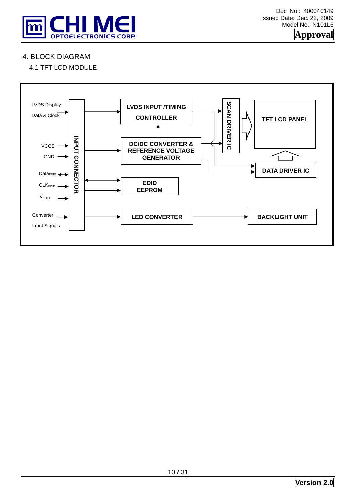

## 4. BLOCK DIAGRAM

## 4.1 TFT LCD MODULE

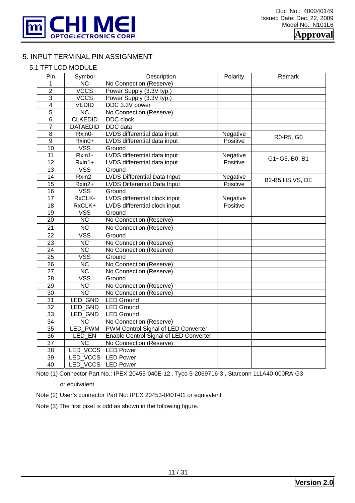

#### 5. INPUT TERMINAL PIN ASSIGNMENT

#### 5.1 TFT LCD MODULE

| Pin             | Symbol                  | Description                            | Polarity | Remark            |
|-----------------|-------------------------|----------------------------------------|----------|-------------------|
| 1               | $\overline{NC}$         | No Connection (Reserve)                |          |                   |
| $\overline{2}$  | <b>VCCS</b>             | Power Supply (3.3V typ.)               |          |                   |
| $\overline{3}$  | <b>VCCS</b>             | Power Supply (3.3V typ.)               |          |                   |
| $\overline{4}$  | <b>VEDID</b>            | DDC 3.3V power                         |          |                   |
| $\overline{5}$  | $\overline{\text{NC}}$  | No Connection (Reserve)                |          |                   |
| 6               | <b>CLKEDID</b>          | DDC clock                              |          |                   |
| $\overline{7}$  | <b>DATAEDID</b>         | <b>DDC</b> data                        |          |                   |
| $\overline{8}$  | Rxin0-                  | LVDS differential data input           | Negative | R0-R5, G0         |
| $\overline{9}$  | Rxin0+                  | LVDS differential data input           | Positive |                   |
| 10              | <b>VSS</b>              | Ground                                 |          |                   |
| 11              | Rxin1-                  | LVDS differential data input           | Negative | G1~G5, B0, B1     |
| $\overline{12}$ | Rxin1+                  | LVDS differential data input           | Positive |                   |
| $\overline{13}$ | <b>VSS</b>              | Ground                                 |          |                   |
| 14              | Rxin2-                  | <b>LVDS Differential Data Input</b>    | Negative | B2-B5, HS, VS, DE |
| $\overline{15}$ | Rxin2+                  | <b>LVDS Differential Data Input</b>    | Positive |                   |
| $\overline{16}$ | <b>VSS</b>              | Ground                                 |          |                   |
| 17              | RxCLK-                  | LVDS differential clock input          | Negative |                   |
| $\overline{18}$ | RxCLK+                  | LVDS differential clock input          | Positive |                   |
| $\overline{19}$ | <b>VSS</b>              | Ground                                 |          |                   |
| $\overline{20}$ | $\overline{NC}$         | No Connection (Reserve)                |          |                   |
| 21              | <b>NC</b>               | No Connection (Reserve)                |          |                   |
| $\overline{22}$ | <b>VSS</b>              | Ground                                 |          |                   |
| 23              | <b>NC</b>               | No Connection (Reserve)                |          |                   |
| $\overline{24}$ | $\overline{\text{NC}}$  | No Connection (Reserve)                |          |                   |
| $\overline{25}$ | $\overline{\text{VSS}}$ | Ground                                 |          |                   |
| $\overline{26}$ | $\overline{NC}$         | No Connection (Reserve)                |          |                   |
| 27              | <b>NC</b>               | No Connection (Reserve)                |          |                   |
| $\overline{28}$ | VSS                     | Ground                                 |          |                   |
| $\overline{29}$ | $\overline{\text{NC}}$  | No Connection (Reserve)                |          |                   |
| 30              | $\overline{\text{NC}}$  | No Connection (Reserve)                |          |                   |
| 31              | LED GND                 | <b>LED</b> Ground                      |          |                   |
| $\overline{32}$ | LED GND                 | <b>LED Ground</b>                      |          |                   |
| 33              | LED_GND                 | <b>LED Ground</b>                      |          |                   |
| $\overline{34}$ | $\overline{NC}$         | No Connection (Reserve)                |          |                   |
| $\overline{35}$ | LED PWM                 | PWM Control Signal of LED Converter    |          |                   |
| 36              | LED EN                  | Enable Control Signal of LED Converter |          |                   |
| $\overline{37}$ | <b>NC</b>               | No Connection (Reserve)                |          |                   |
| 38              | LED_VCCS                | <b>LED Power</b>                       |          |                   |
| 39              | LED VCCS                | <b>LED Power</b>                       |          |                   |
| $\overline{40}$ | LED VCCS                | <b>LED Power</b>                       |          |                   |

Note (1) Connector Part No.: IPEX 20455-040E-12 , Tyco 5-2069716-3 , Starconn 111A40-000RA-G3

or equivalent

Note (2) User's connector Part No: IPEX 20453-040T-01 or equivalent

Note (3) The first pixel is odd as shown in the following figure.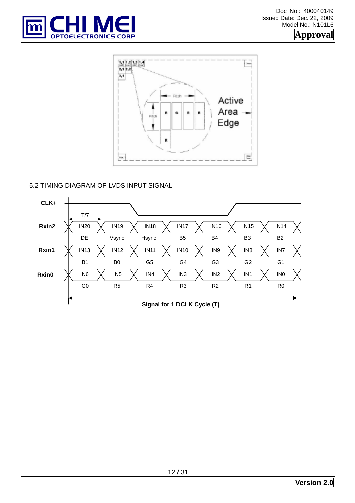



#### 5.2 TIMING DIAGRAM OF LVDS INPUT SIGNAL

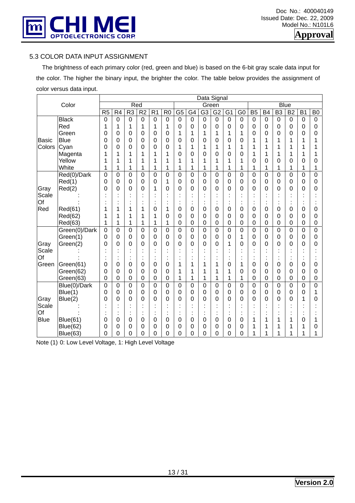

#### 5.3 COLOR DATA INPUT ASSIGNMENT

 The brightness of each primary color (red, green and blue) is based on the 6-bit gray scale data input for the color. The higher the binary input, the brighter the color. The table below provides the assignment of color versus data input.

| Color<br>Red<br><b>Blue</b><br>Green<br>R <sub>2</sub><br>$\overline{R}$<br>$\overline{G5}$<br>$\overline{B5}$<br>$\overline{B}3$<br>R <sub>5</sub><br>R4<br>R <sub>3</sub><br>R <sub>1</sub><br>G4<br>G <sub>3</sub><br>G <sub>2</sub><br>G <sub>1</sub><br>G <sub>0</sub><br><b>B4</b><br><b>B2</b><br><b>B1</b><br>B <sub>0</sub><br>$\overline{0}$<br>$\mathbf 0$<br>$\mathbf 0$<br>$\overline{0}$<br>$\overline{0}$<br>$\mathbf 0$<br>$\mathbf 0$<br><b>Black</b><br>$\mathbf 0$<br>0<br>$\overline{0}$<br>$\overline{0}$<br>$\mathbf 0$<br>0<br>$\mathbf 0$<br>$\mathbf 0$<br>$\mathbf 0$<br>$\overline{0}$<br>$\mathbf 0$<br>$\mathbf 0$<br>0<br>1<br>1<br>1<br>0<br>$\overline{0}$<br>$\overline{0}$<br>0<br>0<br>$\mathbf 0$<br>Red<br>1<br>1<br>$\mathbf 0$<br>$\mathbf 0$<br>$\mathbf 0$<br>0<br>1<br>0<br>$\mathbf 0$<br>$\mathbf 0$<br>1<br>1<br>1<br>1<br>0<br>0<br>$\mathbf 0$<br>Green<br>0<br>0<br>$\mathbf 0$<br>1<br>1<br>0<br>$\mathbf 0$<br>0<br><b>Blue</b><br>0<br>0<br>0<br>0<br>0<br><b>Basic</b><br>0<br>0<br>0<br>0<br>0<br>0<br>1<br>1<br>$\Omega$<br>1<br>1<br>1<br>1<br>Colors<br>0<br>1<br>1<br>Cyan<br>0<br>0<br>0<br>0<br>0<br>1<br>1<br>1<br>1<br>1<br>1<br>1<br>1<br>1<br>1<br>0<br>0<br>1<br>Magenta<br>1<br>1<br>1<br>0<br>0<br>0<br>0<br>1<br>1<br>1<br>1<br>1<br>1<br>1<br>Yellow<br>1<br>1<br>1<br>1<br>1<br>1<br>0<br>0<br>0<br>0<br>1<br>1<br>1<br>1<br>0<br>0<br>1<br>White<br>1<br>1<br>1<br>1<br>1<br>1<br>1<br>1<br>1<br>1<br>1<br>1<br>1<br>1<br>1<br>1<br>1<br>$\overline{0}$<br>Red(0)/Dark<br>$\overline{0}$<br>$\overline{0}$<br>0<br>$\overline{0}$<br>0<br>0<br>$\overline{0}$<br>$\overline{0}$<br>0<br>$\overline{0}$<br>$\mathbf 0$<br>$\overline{0}$<br>0<br>$\overline{0}$<br>$\overline{0}$<br>0<br>0<br>Red(1)<br>0<br>$\mathbf 0$<br>1<br>0<br>0<br>0<br>0<br>0<br>0<br>0<br>0<br>$\mathbf 0$<br>$\mathbf 0$<br>$\mathbf 0$<br>0<br>0<br>0<br>0<br>0<br>Red(2)<br>0<br>0<br>0<br>0<br>0<br>0<br>0<br>Gray<br>0<br>0<br>1<br>0<br>$\overline{0}$<br>0<br>0<br>0<br>0<br>0<br>Scale<br>Of<br>$\blacksquare$<br>Red<br>Red(61)<br>0<br>1<br>1<br>1<br>0<br>0<br>0<br>0<br>0<br>0<br>0<br>1<br>0<br>0<br>0<br>0<br>0<br>Red(62)<br>0<br>0<br>0<br>0<br>0<br>0<br>1<br>0<br>$\Omega$<br>0<br>0<br>0<br>0<br>0<br>1<br>1<br>1<br>1<br>1<br>0<br>0<br>0<br>0<br>$\boldsymbol{0}$<br>0<br>0<br>0<br>Red(63)<br>1<br>1<br>1<br>0<br>0<br>0<br>0<br>Green(0)/Dark<br>0<br>$\overline{0}$<br>0<br>0<br>0<br>$\overline{0}$<br>$\mathbf 0$<br>$\overline{0}$<br>0<br>0<br>$\mathbf 0$<br>0<br>$\overline{0}$<br>$\mathbf 0$<br>0<br>0<br>0<br>$\overline{0}$<br>Green(1)<br>0<br>0<br>$\mathbf 0$<br>0<br>0<br>0<br>0<br>0<br>0<br>0<br>0<br>0<br>0<br>0<br>1<br>0<br>0<br>0<br>Gray<br>0<br>0<br>0<br>0<br>0<br>0<br>0<br>0<br>1<br>0<br>0<br>0<br>0<br>0<br>Green(2)<br>$\Omega$<br>0<br>0<br>0<br>Scale<br>Of<br>×<br>٠<br>٠<br>1<br>Green<br>0<br>0<br>0<br>0<br>0<br>Green(61)<br>0<br>0<br>0<br>1<br>1<br>0<br>1<br>0<br>0<br>0<br>1<br>0<br>1<br>0<br>0<br>0<br>0<br>0<br>1<br>0<br>0<br>0<br>Green(62)<br>0<br>1<br>0<br>0<br>0<br>0<br>1<br>1<br>$\mathbf 0$<br>$\mathbf 0$<br>1<br>0<br>0<br>0<br>$\mathbf 0$<br>1<br>1<br>1<br>1<br>0<br>0<br>0<br>0<br>0<br>0<br>Green(63)<br>1<br>$\overline{0}$<br>$\overline{0}$<br>$\overline{0}$<br>$\overline{0}$<br>$\overline{0}$<br>$\overline{0}$<br>$\overline{0}$<br>$\overline{0}$<br>$\overline{0}$<br>0<br>$\overline{0}$<br>$\overline{0}$<br>0<br>$\mathbf 0$<br>0<br>$\boldsymbol{0}$<br>Blue(0)/Dark<br>$\mathbf 0$<br>$\mathbf 0$<br>Blue(1)<br>$\mathbf 0$<br>$\mathbf 0$<br>0<br>0<br>0<br>0<br>0<br>0<br>0<br>0<br>$\Omega$<br>0<br>0<br>0<br>0<br>0<br>0<br>1<br>0<br>0<br>0<br>0<br>0<br>0<br>0<br>Gray<br>Blue(2)<br>0<br>0<br>0<br>0<br>$\Omega$<br>0<br>0<br>0<br>1<br>0<br>0<br>Scale<br>٠<br>٠<br>×<br>Of<br>$\ddot{\cdot}$<br><b>Blue</b><br><b>Blue(61)</b><br>0<br>0<br>0<br>0<br>0<br>0<br>0<br>0<br>1<br>0<br>0<br>0<br>0<br>0<br>1<br>1<br>1 |                 |   |   |   |   |   |   |   |   | Data Signal |   |   |   |   |   |   |   |   |   |
|-------------------------------------------------------------------------------------------------------------------------------------------------------------------------------------------------------------------------------------------------------------------------------------------------------------------------------------------------------------------------------------------------------------------------------------------------------------------------------------------------------------------------------------------------------------------------------------------------------------------------------------------------------------------------------------------------------------------------------------------------------------------------------------------------------------------------------------------------------------------------------------------------------------------------------------------------------------------------------------------------------------------------------------------------------------------------------------------------------------------------------------------------------------------------------------------------------------------------------------------------------------------------------------------------------------------------------------------------------------------------------------------------------------------------------------------------------------------------------------------------------------------------------------------------------------------------------------------------------------------------------------------------------------------------------------------------------------------------------------------------------------------------------------------------------------------------------------------------------------------------------------------------------------------------------------------------------------------------------------------------------------------------------------------------------------------------------------------------------------------------------------------------------------------------------------------------------------------------------------------------------------------------------------------------------------------------------------------------------------------------------------------------------------------------------------------------------------------------------------------------------------------------------------------------------------------------------------------------------------------------------------------------------------------------------------------------------------------------------------------------------------------------------------------------------------------------------------------------------------------------------------------------------------------------------------------------------------------------------------------------------------------------------------------------------------------------------------------------------------------------------------------------------------------------------------------------------------------------------------------------------------------------------------------------------------------------------------------------------------------------------------------------------------------------------------------------------------------------------------------------------------------------------------------------------------------------------------------------------------------------------------------------------------------------------------------------------------------------------------------------------------------------------------------------------------------------------------------------------------------------------------------------------------------------------------------------------------------------------|-----------------|---|---|---|---|---|---|---|---|-------------|---|---|---|---|---|---|---|---|---|
|                                                                                                                                                                                                                                                                                                                                                                                                                                                                                                                                                                                                                                                                                                                                                                                                                                                                                                                                                                                                                                                                                                                                                                                                                                                                                                                                                                                                                                                                                                                                                                                                                                                                                                                                                                                                                                                                                                                                                                                                                                                                                                                                                                                                                                                                                                                                                                                                                                                                                                                                                                                                                                                                                                                                                                                                                                                                                                                                                                                                                                                                                                                                                                                                                                                                                                                                                                                                                                                                                                                                                                                                                                                                                                                                                                                                                                                                                                                                                                               |                 |   |   |   |   |   |   |   |   |             |   |   |   |   |   |   |   |   |   |
|                                                                                                                                                                                                                                                                                                                                                                                                                                                                                                                                                                                                                                                                                                                                                                                                                                                                                                                                                                                                                                                                                                                                                                                                                                                                                                                                                                                                                                                                                                                                                                                                                                                                                                                                                                                                                                                                                                                                                                                                                                                                                                                                                                                                                                                                                                                                                                                                                                                                                                                                                                                                                                                                                                                                                                                                                                                                                                                                                                                                                                                                                                                                                                                                                                                                                                                                                                                                                                                                                                                                                                                                                                                                                                                                                                                                                                                                                                                                                                               |                 |   |   |   |   |   |   |   |   |             |   |   |   |   |   |   |   |   |   |
|                                                                                                                                                                                                                                                                                                                                                                                                                                                                                                                                                                                                                                                                                                                                                                                                                                                                                                                                                                                                                                                                                                                                                                                                                                                                                                                                                                                                                                                                                                                                                                                                                                                                                                                                                                                                                                                                                                                                                                                                                                                                                                                                                                                                                                                                                                                                                                                                                                                                                                                                                                                                                                                                                                                                                                                                                                                                                                                                                                                                                                                                                                                                                                                                                                                                                                                                                                                                                                                                                                                                                                                                                                                                                                                                                                                                                                                                                                                                                                               |                 |   |   |   |   |   |   |   |   |             |   |   |   |   |   |   |   |   |   |
|                                                                                                                                                                                                                                                                                                                                                                                                                                                                                                                                                                                                                                                                                                                                                                                                                                                                                                                                                                                                                                                                                                                                                                                                                                                                                                                                                                                                                                                                                                                                                                                                                                                                                                                                                                                                                                                                                                                                                                                                                                                                                                                                                                                                                                                                                                                                                                                                                                                                                                                                                                                                                                                                                                                                                                                                                                                                                                                                                                                                                                                                                                                                                                                                                                                                                                                                                                                                                                                                                                                                                                                                                                                                                                                                                                                                                                                                                                                                                                               |                 |   |   |   |   |   |   |   |   |             |   |   |   |   |   |   |   |   |   |
|                                                                                                                                                                                                                                                                                                                                                                                                                                                                                                                                                                                                                                                                                                                                                                                                                                                                                                                                                                                                                                                                                                                                                                                                                                                                                                                                                                                                                                                                                                                                                                                                                                                                                                                                                                                                                                                                                                                                                                                                                                                                                                                                                                                                                                                                                                                                                                                                                                                                                                                                                                                                                                                                                                                                                                                                                                                                                                                                                                                                                                                                                                                                                                                                                                                                                                                                                                                                                                                                                                                                                                                                                                                                                                                                                                                                                                                                                                                                                                               |                 |   |   |   |   |   |   |   |   |             |   |   |   |   |   |   |   |   |   |
|                                                                                                                                                                                                                                                                                                                                                                                                                                                                                                                                                                                                                                                                                                                                                                                                                                                                                                                                                                                                                                                                                                                                                                                                                                                                                                                                                                                                                                                                                                                                                                                                                                                                                                                                                                                                                                                                                                                                                                                                                                                                                                                                                                                                                                                                                                                                                                                                                                                                                                                                                                                                                                                                                                                                                                                                                                                                                                                                                                                                                                                                                                                                                                                                                                                                                                                                                                                                                                                                                                                                                                                                                                                                                                                                                                                                                                                                                                                                                                               |                 |   |   |   |   |   |   |   |   |             |   |   |   |   |   |   |   |   |   |
|                                                                                                                                                                                                                                                                                                                                                                                                                                                                                                                                                                                                                                                                                                                                                                                                                                                                                                                                                                                                                                                                                                                                                                                                                                                                                                                                                                                                                                                                                                                                                                                                                                                                                                                                                                                                                                                                                                                                                                                                                                                                                                                                                                                                                                                                                                                                                                                                                                                                                                                                                                                                                                                                                                                                                                                                                                                                                                                                                                                                                                                                                                                                                                                                                                                                                                                                                                                                                                                                                                                                                                                                                                                                                                                                                                                                                                                                                                                                                                               |                 |   |   |   |   |   |   |   |   |             |   |   |   |   |   |   |   |   |   |
|                                                                                                                                                                                                                                                                                                                                                                                                                                                                                                                                                                                                                                                                                                                                                                                                                                                                                                                                                                                                                                                                                                                                                                                                                                                                                                                                                                                                                                                                                                                                                                                                                                                                                                                                                                                                                                                                                                                                                                                                                                                                                                                                                                                                                                                                                                                                                                                                                                                                                                                                                                                                                                                                                                                                                                                                                                                                                                                                                                                                                                                                                                                                                                                                                                                                                                                                                                                                                                                                                                                                                                                                                                                                                                                                                                                                                                                                                                                                                                               |                 |   |   |   |   |   |   |   |   |             |   |   |   |   |   |   |   |   |   |
|                                                                                                                                                                                                                                                                                                                                                                                                                                                                                                                                                                                                                                                                                                                                                                                                                                                                                                                                                                                                                                                                                                                                                                                                                                                                                                                                                                                                                                                                                                                                                                                                                                                                                                                                                                                                                                                                                                                                                                                                                                                                                                                                                                                                                                                                                                                                                                                                                                                                                                                                                                                                                                                                                                                                                                                                                                                                                                                                                                                                                                                                                                                                                                                                                                                                                                                                                                                                                                                                                                                                                                                                                                                                                                                                                                                                                                                                                                                                                                               |                 |   |   |   |   |   |   |   |   |             |   |   |   |   |   |   |   |   |   |
|                                                                                                                                                                                                                                                                                                                                                                                                                                                                                                                                                                                                                                                                                                                                                                                                                                                                                                                                                                                                                                                                                                                                                                                                                                                                                                                                                                                                                                                                                                                                                                                                                                                                                                                                                                                                                                                                                                                                                                                                                                                                                                                                                                                                                                                                                                                                                                                                                                                                                                                                                                                                                                                                                                                                                                                                                                                                                                                                                                                                                                                                                                                                                                                                                                                                                                                                                                                                                                                                                                                                                                                                                                                                                                                                                                                                                                                                                                                                                                               |                 |   |   |   |   |   |   |   |   |             |   |   |   |   |   |   |   |   |   |
|                                                                                                                                                                                                                                                                                                                                                                                                                                                                                                                                                                                                                                                                                                                                                                                                                                                                                                                                                                                                                                                                                                                                                                                                                                                                                                                                                                                                                                                                                                                                                                                                                                                                                                                                                                                                                                                                                                                                                                                                                                                                                                                                                                                                                                                                                                                                                                                                                                                                                                                                                                                                                                                                                                                                                                                                                                                                                                                                                                                                                                                                                                                                                                                                                                                                                                                                                                                                                                                                                                                                                                                                                                                                                                                                                                                                                                                                                                                                                                               |                 |   |   |   |   |   |   |   |   |             |   |   |   |   |   |   |   |   |   |
|                                                                                                                                                                                                                                                                                                                                                                                                                                                                                                                                                                                                                                                                                                                                                                                                                                                                                                                                                                                                                                                                                                                                                                                                                                                                                                                                                                                                                                                                                                                                                                                                                                                                                                                                                                                                                                                                                                                                                                                                                                                                                                                                                                                                                                                                                                                                                                                                                                                                                                                                                                                                                                                                                                                                                                                                                                                                                                                                                                                                                                                                                                                                                                                                                                                                                                                                                                                                                                                                                                                                                                                                                                                                                                                                                                                                                                                                                                                                                                               |                 |   |   |   |   |   |   |   |   |             |   |   |   |   |   |   |   |   |   |
|                                                                                                                                                                                                                                                                                                                                                                                                                                                                                                                                                                                                                                                                                                                                                                                                                                                                                                                                                                                                                                                                                                                                                                                                                                                                                                                                                                                                                                                                                                                                                                                                                                                                                                                                                                                                                                                                                                                                                                                                                                                                                                                                                                                                                                                                                                                                                                                                                                                                                                                                                                                                                                                                                                                                                                                                                                                                                                                                                                                                                                                                                                                                                                                                                                                                                                                                                                                                                                                                                                                                                                                                                                                                                                                                                                                                                                                                                                                                                                               |                 |   |   |   |   |   |   |   |   |             |   |   |   |   |   |   |   |   |   |
|                                                                                                                                                                                                                                                                                                                                                                                                                                                                                                                                                                                                                                                                                                                                                                                                                                                                                                                                                                                                                                                                                                                                                                                                                                                                                                                                                                                                                                                                                                                                                                                                                                                                                                                                                                                                                                                                                                                                                                                                                                                                                                                                                                                                                                                                                                                                                                                                                                                                                                                                                                                                                                                                                                                                                                                                                                                                                                                                                                                                                                                                                                                                                                                                                                                                                                                                                                                                                                                                                                                                                                                                                                                                                                                                                                                                                                                                                                                                                                               |                 |   |   |   |   |   |   |   |   |             |   |   |   |   |   |   |   |   |   |
|                                                                                                                                                                                                                                                                                                                                                                                                                                                                                                                                                                                                                                                                                                                                                                                                                                                                                                                                                                                                                                                                                                                                                                                                                                                                                                                                                                                                                                                                                                                                                                                                                                                                                                                                                                                                                                                                                                                                                                                                                                                                                                                                                                                                                                                                                                                                                                                                                                                                                                                                                                                                                                                                                                                                                                                                                                                                                                                                                                                                                                                                                                                                                                                                                                                                                                                                                                                                                                                                                                                                                                                                                                                                                                                                                                                                                                                                                                                                                                               |                 |   |   |   |   |   |   |   |   |             |   |   |   |   |   |   |   |   |   |
|                                                                                                                                                                                                                                                                                                                                                                                                                                                                                                                                                                                                                                                                                                                                                                                                                                                                                                                                                                                                                                                                                                                                                                                                                                                                                                                                                                                                                                                                                                                                                                                                                                                                                                                                                                                                                                                                                                                                                                                                                                                                                                                                                                                                                                                                                                                                                                                                                                                                                                                                                                                                                                                                                                                                                                                                                                                                                                                                                                                                                                                                                                                                                                                                                                                                                                                                                                                                                                                                                                                                                                                                                                                                                                                                                                                                                                                                                                                                                                               |                 |   |   |   |   |   |   |   |   |             |   |   |   |   |   |   |   |   |   |
|                                                                                                                                                                                                                                                                                                                                                                                                                                                                                                                                                                                                                                                                                                                                                                                                                                                                                                                                                                                                                                                                                                                                                                                                                                                                                                                                                                                                                                                                                                                                                                                                                                                                                                                                                                                                                                                                                                                                                                                                                                                                                                                                                                                                                                                                                                                                                                                                                                                                                                                                                                                                                                                                                                                                                                                                                                                                                                                                                                                                                                                                                                                                                                                                                                                                                                                                                                                                                                                                                                                                                                                                                                                                                                                                                                                                                                                                                                                                                                               |                 |   |   |   |   |   |   |   |   |             |   |   |   |   |   |   |   |   |   |
|                                                                                                                                                                                                                                                                                                                                                                                                                                                                                                                                                                                                                                                                                                                                                                                                                                                                                                                                                                                                                                                                                                                                                                                                                                                                                                                                                                                                                                                                                                                                                                                                                                                                                                                                                                                                                                                                                                                                                                                                                                                                                                                                                                                                                                                                                                                                                                                                                                                                                                                                                                                                                                                                                                                                                                                                                                                                                                                                                                                                                                                                                                                                                                                                                                                                                                                                                                                                                                                                                                                                                                                                                                                                                                                                                                                                                                                                                                                                                                               |                 |   |   |   |   |   |   |   |   |             |   |   |   |   |   |   |   |   |   |
|                                                                                                                                                                                                                                                                                                                                                                                                                                                                                                                                                                                                                                                                                                                                                                                                                                                                                                                                                                                                                                                                                                                                                                                                                                                                                                                                                                                                                                                                                                                                                                                                                                                                                                                                                                                                                                                                                                                                                                                                                                                                                                                                                                                                                                                                                                                                                                                                                                                                                                                                                                                                                                                                                                                                                                                                                                                                                                                                                                                                                                                                                                                                                                                                                                                                                                                                                                                                                                                                                                                                                                                                                                                                                                                                                                                                                                                                                                                                                                               |                 |   |   |   |   |   |   |   |   |             |   |   |   |   |   |   |   |   |   |
|                                                                                                                                                                                                                                                                                                                                                                                                                                                                                                                                                                                                                                                                                                                                                                                                                                                                                                                                                                                                                                                                                                                                                                                                                                                                                                                                                                                                                                                                                                                                                                                                                                                                                                                                                                                                                                                                                                                                                                                                                                                                                                                                                                                                                                                                                                                                                                                                                                                                                                                                                                                                                                                                                                                                                                                                                                                                                                                                                                                                                                                                                                                                                                                                                                                                                                                                                                                                                                                                                                                                                                                                                                                                                                                                                                                                                                                                                                                                                                               |                 |   |   |   |   |   |   |   |   |             |   |   |   |   |   |   |   |   |   |
|                                                                                                                                                                                                                                                                                                                                                                                                                                                                                                                                                                                                                                                                                                                                                                                                                                                                                                                                                                                                                                                                                                                                                                                                                                                                                                                                                                                                                                                                                                                                                                                                                                                                                                                                                                                                                                                                                                                                                                                                                                                                                                                                                                                                                                                                                                                                                                                                                                                                                                                                                                                                                                                                                                                                                                                                                                                                                                                                                                                                                                                                                                                                                                                                                                                                                                                                                                                                                                                                                                                                                                                                                                                                                                                                                                                                                                                                                                                                                                               |                 |   |   |   |   |   |   |   |   |             |   |   |   |   |   |   |   |   |   |
|                                                                                                                                                                                                                                                                                                                                                                                                                                                                                                                                                                                                                                                                                                                                                                                                                                                                                                                                                                                                                                                                                                                                                                                                                                                                                                                                                                                                                                                                                                                                                                                                                                                                                                                                                                                                                                                                                                                                                                                                                                                                                                                                                                                                                                                                                                                                                                                                                                                                                                                                                                                                                                                                                                                                                                                                                                                                                                                                                                                                                                                                                                                                                                                                                                                                                                                                                                                                                                                                                                                                                                                                                                                                                                                                                                                                                                                                                                                                                                               |                 |   |   |   |   |   |   |   |   |             |   |   |   |   |   |   |   |   |   |
|                                                                                                                                                                                                                                                                                                                                                                                                                                                                                                                                                                                                                                                                                                                                                                                                                                                                                                                                                                                                                                                                                                                                                                                                                                                                                                                                                                                                                                                                                                                                                                                                                                                                                                                                                                                                                                                                                                                                                                                                                                                                                                                                                                                                                                                                                                                                                                                                                                                                                                                                                                                                                                                                                                                                                                                                                                                                                                                                                                                                                                                                                                                                                                                                                                                                                                                                                                                                                                                                                                                                                                                                                                                                                                                                                                                                                                                                                                                                                                               |                 |   |   |   |   |   |   |   |   |             |   |   |   |   |   |   |   |   |   |
|                                                                                                                                                                                                                                                                                                                                                                                                                                                                                                                                                                                                                                                                                                                                                                                                                                                                                                                                                                                                                                                                                                                                                                                                                                                                                                                                                                                                                                                                                                                                                                                                                                                                                                                                                                                                                                                                                                                                                                                                                                                                                                                                                                                                                                                                                                                                                                                                                                                                                                                                                                                                                                                                                                                                                                                                                                                                                                                                                                                                                                                                                                                                                                                                                                                                                                                                                                                                                                                                                                                                                                                                                                                                                                                                                                                                                                                                                                                                                                               |                 |   |   |   |   |   |   |   |   |             |   |   |   |   |   |   |   |   |   |
|                                                                                                                                                                                                                                                                                                                                                                                                                                                                                                                                                                                                                                                                                                                                                                                                                                                                                                                                                                                                                                                                                                                                                                                                                                                                                                                                                                                                                                                                                                                                                                                                                                                                                                                                                                                                                                                                                                                                                                                                                                                                                                                                                                                                                                                                                                                                                                                                                                                                                                                                                                                                                                                                                                                                                                                                                                                                                                                                                                                                                                                                                                                                                                                                                                                                                                                                                                                                                                                                                                                                                                                                                                                                                                                                                                                                                                                                                                                                                                               |                 |   |   |   |   |   |   |   |   |             |   |   |   |   |   |   |   |   |   |
|                                                                                                                                                                                                                                                                                                                                                                                                                                                                                                                                                                                                                                                                                                                                                                                                                                                                                                                                                                                                                                                                                                                                                                                                                                                                                                                                                                                                                                                                                                                                                                                                                                                                                                                                                                                                                                                                                                                                                                                                                                                                                                                                                                                                                                                                                                                                                                                                                                                                                                                                                                                                                                                                                                                                                                                                                                                                                                                                                                                                                                                                                                                                                                                                                                                                                                                                                                                                                                                                                                                                                                                                                                                                                                                                                                                                                                                                                                                                                                               |                 |   |   |   |   |   |   |   |   |             |   |   |   |   |   |   |   |   |   |
|                                                                                                                                                                                                                                                                                                                                                                                                                                                                                                                                                                                                                                                                                                                                                                                                                                                                                                                                                                                                                                                                                                                                                                                                                                                                                                                                                                                                                                                                                                                                                                                                                                                                                                                                                                                                                                                                                                                                                                                                                                                                                                                                                                                                                                                                                                                                                                                                                                                                                                                                                                                                                                                                                                                                                                                                                                                                                                                                                                                                                                                                                                                                                                                                                                                                                                                                                                                                                                                                                                                                                                                                                                                                                                                                                                                                                                                                                                                                                                               |                 |   |   |   |   |   |   |   |   |             |   |   |   |   |   |   |   |   |   |
|                                                                                                                                                                                                                                                                                                                                                                                                                                                                                                                                                                                                                                                                                                                                                                                                                                                                                                                                                                                                                                                                                                                                                                                                                                                                                                                                                                                                                                                                                                                                                                                                                                                                                                                                                                                                                                                                                                                                                                                                                                                                                                                                                                                                                                                                                                                                                                                                                                                                                                                                                                                                                                                                                                                                                                                                                                                                                                                                                                                                                                                                                                                                                                                                                                                                                                                                                                                                                                                                                                                                                                                                                                                                                                                                                                                                                                                                                                                                                                               |                 |   |   |   |   |   |   |   |   |             |   |   |   |   |   |   |   |   |   |
|                                                                                                                                                                                                                                                                                                                                                                                                                                                                                                                                                                                                                                                                                                                                                                                                                                                                                                                                                                                                                                                                                                                                                                                                                                                                                                                                                                                                                                                                                                                                                                                                                                                                                                                                                                                                                                                                                                                                                                                                                                                                                                                                                                                                                                                                                                                                                                                                                                                                                                                                                                                                                                                                                                                                                                                                                                                                                                                                                                                                                                                                                                                                                                                                                                                                                                                                                                                                                                                                                                                                                                                                                                                                                                                                                                                                                                                                                                                                                                               |                 |   |   |   |   |   |   |   |   |             |   |   |   |   |   |   |   |   |   |
|                                                                                                                                                                                                                                                                                                                                                                                                                                                                                                                                                                                                                                                                                                                                                                                                                                                                                                                                                                                                                                                                                                                                                                                                                                                                                                                                                                                                                                                                                                                                                                                                                                                                                                                                                                                                                                                                                                                                                                                                                                                                                                                                                                                                                                                                                                                                                                                                                                                                                                                                                                                                                                                                                                                                                                                                                                                                                                                                                                                                                                                                                                                                                                                                                                                                                                                                                                                                                                                                                                                                                                                                                                                                                                                                                                                                                                                                                                                                                                               |                 |   |   |   |   |   |   |   |   |             |   |   |   |   |   |   |   |   |   |
|                                                                                                                                                                                                                                                                                                                                                                                                                                                                                                                                                                                                                                                                                                                                                                                                                                                                                                                                                                                                                                                                                                                                                                                                                                                                                                                                                                                                                                                                                                                                                                                                                                                                                                                                                                                                                                                                                                                                                                                                                                                                                                                                                                                                                                                                                                                                                                                                                                                                                                                                                                                                                                                                                                                                                                                                                                                                                                                                                                                                                                                                                                                                                                                                                                                                                                                                                                                                                                                                                                                                                                                                                                                                                                                                                                                                                                                                                                                                                                               |                 |   |   |   |   |   |   |   |   |             |   |   |   |   |   |   |   |   |   |
|                                                                                                                                                                                                                                                                                                                                                                                                                                                                                                                                                                                                                                                                                                                                                                                                                                                                                                                                                                                                                                                                                                                                                                                                                                                                                                                                                                                                                                                                                                                                                                                                                                                                                                                                                                                                                                                                                                                                                                                                                                                                                                                                                                                                                                                                                                                                                                                                                                                                                                                                                                                                                                                                                                                                                                                                                                                                                                                                                                                                                                                                                                                                                                                                                                                                                                                                                                                                                                                                                                                                                                                                                                                                                                                                                                                                                                                                                                                                                                               | <b>Blue(62)</b> | 0 | 0 | 0 | 0 | 0 | 0 | 0 | 0 | 0           | 0 | 0 | 0 | 1 | 1 | 1 | 1 | 1 | 0 |
| <b>Blue(63)</b><br>0<br>0<br>0<br>0<br>0<br>0<br>0<br>1<br>0<br>0<br>0<br>0<br>0<br>1<br>1<br>1                                                                                                                                                                                                                                                                                                                                                                                                                                                                                                                                                                                                                                                                                                                                                                                                                                                                                                                                                                                                                                                                                                                                                                                                                                                                                                                                                                                                                                                                                                                                                                                                                                                                                                                                                                                                                                                                                                                                                                                                                                                                                                                                                                                                                                                                                                                                                                                                                                                                                                                                                                                                                                                                                                                                                                                                                                                                                                                                                                                                                                                                                                                                                                                                                                                                                                                                                                                                                                                                                                                                                                                                                                                                                                                                                                                                                                                                               |                 |   |   |   |   |   |   |   |   |             |   |   |   |   |   |   |   |   |   |

Note (1) 0: Low Level Voltage, 1: High Level Voltage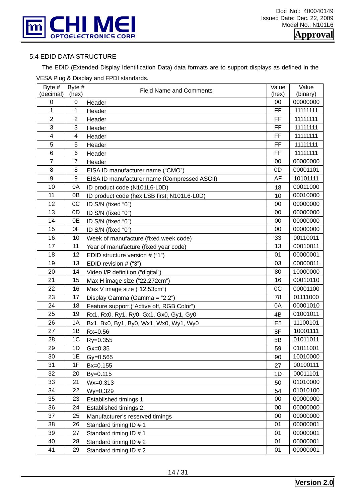

#### 5.4 EDID DATA STRUCTURE

 The EDID (Extended Display Identification Data) data formats are to support displays as defined in the VESA Plug & Display and FPDI standards.

| (decimal)<br>(hex)<br>(binary)<br>(hex)<br>00<br>00000000<br>0<br>0<br>Header<br><b>FF</b><br>1<br>1<br>11111111<br>Header<br>$\overline{2}$<br>$\overline{2}$<br>FF<br>11111111<br>Header<br>3<br>3<br>FF<br>11111111<br>Header<br>FF<br>$\overline{\mathbf{4}}$<br>11111111<br>$\overline{4}$<br>Header<br>5<br>5<br>FF<br>11111111<br>Header<br>6<br>FF<br>11111111<br>6<br>Header<br>$\overline{7}$<br>$\overline{7}$<br>00000000<br>00<br>Header<br>8<br>00001101<br>8<br>0D<br>EISA ID manufacturer name ("CMO")<br>9<br>AF<br>10101111<br>9<br>EISA ID manufacturer name (Compressed ASCII)<br>10<br>0A<br>00011000<br>ID product code (N101L6-L0D)<br>18<br>11<br>00010000<br>0 <sub>B</sub><br>ID product code (hex LSB first; N101L6-L0D)<br>10<br>12<br>OC<br>00<br>00000000<br>ID S/N (fixed "0")<br>13<br>00000000<br>0D<br>00<br>ID S/N (fixed "0")<br>14<br>00000000<br>0E<br>00<br>ID S/N (fixed "0")<br>15<br>0F<br>00000000<br>00<br>ID S/N (fixed "0")<br>16<br>00110011<br>10<br>33<br>Week of manufacture (fixed week code)<br>17<br>11<br>13<br>00010011<br>Year of manufacture (fixed year code)<br>18<br>00000001<br>12<br>01<br>EDID structure version # ("1")<br>19<br>00000011<br>13<br>03<br>EDID revision # ("3")<br>10000000<br>20<br>80<br>14<br>Video I/P definition ("digital")<br>21<br>16<br>00010110<br>15<br>Max H image size ("22.272cm") | Byte # | Byte # | <b>Field Name and Comments</b> | Value | Value    |
|---------------------------------------------------------------------------------------------------------------------------------------------------------------------------------------------------------------------------------------------------------------------------------------------------------------------------------------------------------------------------------------------------------------------------------------------------------------------------------------------------------------------------------------------------------------------------------------------------------------------------------------------------------------------------------------------------------------------------------------------------------------------------------------------------------------------------------------------------------------------------------------------------------------------------------------------------------------------------------------------------------------------------------------------------------------------------------------------------------------------------------------------------------------------------------------------------------------------------------------------------------------------------------------------------------------------------------------------------------------------------------|--------|--------|--------------------------------|-------|----------|
|                                                                                                                                                                                                                                                                                                                                                                                                                                                                                                                                                                                                                                                                                                                                                                                                                                                                                                                                                                                                                                                                                                                                                                                                                                                                                                                                                                                 |        |        |                                |       |          |
|                                                                                                                                                                                                                                                                                                                                                                                                                                                                                                                                                                                                                                                                                                                                                                                                                                                                                                                                                                                                                                                                                                                                                                                                                                                                                                                                                                                 |        |        |                                |       |          |
|                                                                                                                                                                                                                                                                                                                                                                                                                                                                                                                                                                                                                                                                                                                                                                                                                                                                                                                                                                                                                                                                                                                                                                                                                                                                                                                                                                                 |        |        |                                |       |          |
|                                                                                                                                                                                                                                                                                                                                                                                                                                                                                                                                                                                                                                                                                                                                                                                                                                                                                                                                                                                                                                                                                                                                                                                                                                                                                                                                                                                 |        |        |                                |       |          |
|                                                                                                                                                                                                                                                                                                                                                                                                                                                                                                                                                                                                                                                                                                                                                                                                                                                                                                                                                                                                                                                                                                                                                                                                                                                                                                                                                                                 |        |        |                                |       |          |
|                                                                                                                                                                                                                                                                                                                                                                                                                                                                                                                                                                                                                                                                                                                                                                                                                                                                                                                                                                                                                                                                                                                                                                                                                                                                                                                                                                                 |        |        |                                |       |          |
|                                                                                                                                                                                                                                                                                                                                                                                                                                                                                                                                                                                                                                                                                                                                                                                                                                                                                                                                                                                                                                                                                                                                                                                                                                                                                                                                                                                 |        |        |                                |       |          |
|                                                                                                                                                                                                                                                                                                                                                                                                                                                                                                                                                                                                                                                                                                                                                                                                                                                                                                                                                                                                                                                                                                                                                                                                                                                                                                                                                                                 |        |        |                                |       |          |
|                                                                                                                                                                                                                                                                                                                                                                                                                                                                                                                                                                                                                                                                                                                                                                                                                                                                                                                                                                                                                                                                                                                                                                                                                                                                                                                                                                                 |        |        |                                |       |          |
|                                                                                                                                                                                                                                                                                                                                                                                                                                                                                                                                                                                                                                                                                                                                                                                                                                                                                                                                                                                                                                                                                                                                                                                                                                                                                                                                                                                 |        |        |                                |       |          |
|                                                                                                                                                                                                                                                                                                                                                                                                                                                                                                                                                                                                                                                                                                                                                                                                                                                                                                                                                                                                                                                                                                                                                                                                                                                                                                                                                                                 |        |        |                                |       |          |
|                                                                                                                                                                                                                                                                                                                                                                                                                                                                                                                                                                                                                                                                                                                                                                                                                                                                                                                                                                                                                                                                                                                                                                                                                                                                                                                                                                                 |        |        |                                |       |          |
|                                                                                                                                                                                                                                                                                                                                                                                                                                                                                                                                                                                                                                                                                                                                                                                                                                                                                                                                                                                                                                                                                                                                                                                                                                                                                                                                                                                 |        |        |                                |       |          |
|                                                                                                                                                                                                                                                                                                                                                                                                                                                                                                                                                                                                                                                                                                                                                                                                                                                                                                                                                                                                                                                                                                                                                                                                                                                                                                                                                                                 |        |        |                                |       |          |
|                                                                                                                                                                                                                                                                                                                                                                                                                                                                                                                                                                                                                                                                                                                                                                                                                                                                                                                                                                                                                                                                                                                                                                                                                                                                                                                                                                                 |        |        |                                |       |          |
|                                                                                                                                                                                                                                                                                                                                                                                                                                                                                                                                                                                                                                                                                                                                                                                                                                                                                                                                                                                                                                                                                                                                                                                                                                                                                                                                                                                 |        |        |                                |       |          |
|                                                                                                                                                                                                                                                                                                                                                                                                                                                                                                                                                                                                                                                                                                                                                                                                                                                                                                                                                                                                                                                                                                                                                                                                                                                                                                                                                                                 |        |        |                                |       |          |
|                                                                                                                                                                                                                                                                                                                                                                                                                                                                                                                                                                                                                                                                                                                                                                                                                                                                                                                                                                                                                                                                                                                                                                                                                                                                                                                                                                                 |        |        |                                |       |          |
|                                                                                                                                                                                                                                                                                                                                                                                                                                                                                                                                                                                                                                                                                                                                                                                                                                                                                                                                                                                                                                                                                                                                                                                                                                                                                                                                                                                 |        |        |                                |       |          |
|                                                                                                                                                                                                                                                                                                                                                                                                                                                                                                                                                                                                                                                                                                                                                                                                                                                                                                                                                                                                                                                                                                                                                                                                                                                                                                                                                                                 |        |        |                                |       |          |
|                                                                                                                                                                                                                                                                                                                                                                                                                                                                                                                                                                                                                                                                                                                                                                                                                                                                                                                                                                                                                                                                                                                                                                                                                                                                                                                                                                                 |        |        |                                |       |          |
|                                                                                                                                                                                                                                                                                                                                                                                                                                                                                                                                                                                                                                                                                                                                                                                                                                                                                                                                                                                                                                                                                                                                                                                                                                                                                                                                                                                 |        |        |                                |       |          |
|                                                                                                                                                                                                                                                                                                                                                                                                                                                                                                                                                                                                                                                                                                                                                                                                                                                                                                                                                                                                                                                                                                                                                                                                                                                                                                                                                                                 |        |        |                                |       |          |
|                                                                                                                                                                                                                                                                                                                                                                                                                                                                                                                                                                                                                                                                                                                                                                                                                                                                                                                                                                                                                                                                                                                                                                                                                                                                                                                                                                                 | 22     | 16     | Max V image size ("12.53cm")   | 0C    | 00001100 |
| 23<br>17<br>78<br>01111000<br>Display Gamma (Gamma = "2.2")                                                                                                                                                                                                                                                                                                                                                                                                                                                                                                                                                                                                                                                                                                                                                                                                                                                                                                                                                                                                                                                                                                                                                                                                                                                                                                                     |        |        |                                |       |          |
| 24<br>0A<br>00001010<br>18<br>Feature support ("Active off, RGB Color")                                                                                                                                                                                                                                                                                                                                                                                                                                                                                                                                                                                                                                                                                                                                                                                                                                                                                                                                                                                                                                                                                                                                                                                                                                                                                                         |        |        |                                |       |          |
| 25<br>01001011<br>19<br>Rx1, Rx0, Ry1, Ry0, Gx1, Gx0, Gy1, Gy0<br>4B                                                                                                                                                                                                                                                                                                                                                                                                                                                                                                                                                                                                                                                                                                                                                                                                                                                                                                                                                                                                                                                                                                                                                                                                                                                                                                            |        |        |                                |       |          |
| 26<br>1A<br>11100101<br>E <sub>5</sub><br>Bx1, Bx0, By1, By0, Wx1, Wx0, Wy1, Wy0                                                                                                                                                                                                                                                                                                                                                                                                                                                                                                                                                                                                                                                                                                                                                                                                                                                                                                                                                                                                                                                                                                                                                                                                                                                                                                |        |        |                                |       |          |
| 27<br>10001111<br>1B<br>8F<br>$Rx=0.56$                                                                                                                                                                                                                                                                                                                                                                                                                                                                                                                                                                                                                                                                                                                                                                                                                                                                                                                                                                                                                                                                                                                                                                                                                                                                                                                                         |        |        |                                |       |          |
| 28<br>1 <sup>C</sup><br>01011011<br>Ry=0.355<br>5B                                                                                                                                                                                                                                                                                                                                                                                                                                                                                                                                                                                                                                                                                                                                                                                                                                                                                                                                                                                                                                                                                                                                                                                                                                                                                                                              |        |        |                                |       |          |
| 29<br>1D<br>01011001<br>$Gx=0.35$<br>59                                                                                                                                                                                                                                                                                                                                                                                                                                                                                                                                                                                                                                                                                                                                                                                                                                                                                                                                                                                                                                                                                                                                                                                                                                                                                                                                         |        |        |                                |       |          |
| 30<br>1E<br>10010000<br>$Gy = 0.565$<br>90                                                                                                                                                                                                                                                                                                                                                                                                                                                                                                                                                                                                                                                                                                                                                                                                                                                                                                                                                                                                                                                                                                                                                                                                                                                                                                                                      |        |        |                                |       |          |
| 00100111<br>31<br>1F<br>27<br>Bx=0.155                                                                                                                                                                                                                                                                                                                                                                                                                                                                                                                                                                                                                                                                                                                                                                                                                                                                                                                                                                                                                                                                                                                                                                                                                                                                                                                                          |        |        |                                |       |          |
| 00011101<br>32<br>20<br>By=0.115<br>1D                                                                                                                                                                                                                                                                                                                                                                                                                                                                                                                                                                                                                                                                                                                                                                                                                                                                                                                                                                                                                                                                                                                                                                                                                                                                                                                                          |        |        |                                |       |          |
| 33<br>01010000<br>21<br>$Wx = 0.313$<br>50                                                                                                                                                                                                                                                                                                                                                                                                                                                                                                                                                                                                                                                                                                                                                                                                                                                                                                                                                                                                                                                                                                                                                                                                                                                                                                                                      |        |        |                                |       |          |
| 34<br>01010100<br>22<br>$Wy = 0.329$<br>54                                                                                                                                                                                                                                                                                                                                                                                                                                                                                                                                                                                                                                                                                                                                                                                                                                                                                                                                                                                                                                                                                                                                                                                                                                                                                                                                      |        |        |                                |       |          |
| 35<br>00000000<br>23<br>00<br>Established timings 1                                                                                                                                                                                                                                                                                                                                                                                                                                                                                                                                                                                                                                                                                                                                                                                                                                                                                                                                                                                                                                                                                                                                                                                                                                                                                                                             |        |        |                                |       |          |
| 36<br>00000000<br>24<br>00<br><b>Established timings 2</b>                                                                                                                                                                                                                                                                                                                                                                                                                                                                                                                                                                                                                                                                                                                                                                                                                                                                                                                                                                                                                                                                                                                                                                                                                                                                                                                      |        |        |                                |       |          |
| 37<br>00<br>00000000<br>25<br>Manufacturer's reserved timings                                                                                                                                                                                                                                                                                                                                                                                                                                                                                                                                                                                                                                                                                                                                                                                                                                                                                                                                                                                                                                                                                                                                                                                                                                                                                                                   |        |        |                                |       |          |
| 38<br>00000001<br>26<br>01<br>Standard timing ID # 1                                                                                                                                                                                                                                                                                                                                                                                                                                                                                                                                                                                                                                                                                                                                                                                                                                                                                                                                                                                                                                                                                                                                                                                                                                                                                                                            |        |        |                                |       |          |
| 39<br>00000001<br>27<br>01<br>Standard timing ID # 1                                                                                                                                                                                                                                                                                                                                                                                                                                                                                                                                                                                                                                                                                                                                                                                                                                                                                                                                                                                                                                                                                                                                                                                                                                                                                                                            |        |        |                                |       |          |
| 40<br>00000001<br>28<br>01<br>Standard timing ID # 2                                                                                                                                                                                                                                                                                                                                                                                                                                                                                                                                                                                                                                                                                                                                                                                                                                                                                                                                                                                                                                                                                                                                                                                                                                                                                                                            |        |        |                                |       |          |
| 41<br>00000001<br>29<br>Standard timing ID # 2<br>01                                                                                                                                                                                                                                                                                                                                                                                                                                                                                                                                                                                                                                                                                                                                                                                                                                                                                                                                                                                                                                                                                                                                                                                                                                                                                                                            |        |        |                                |       |          |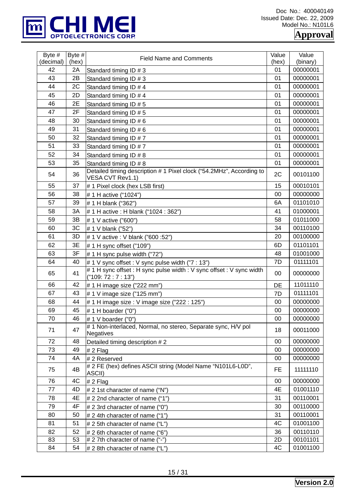

| Byte #<br>(decimal) | Byte #<br>(hex) | <b>Field Name and Comments</b>                                                            | Value       | Value                |
|---------------------|-----------------|-------------------------------------------------------------------------------------------|-------------|----------------------|
| 42                  | 2A              |                                                                                           | (hex)<br>01 | (binary)<br>00000001 |
| 43                  | 2B              | Standard timing ID # 3<br>Standard timing ID # 3                                          | 01          | 00000001             |
| 44                  | 2C              | Standard timing ID # 4                                                                    | 01          | 00000001             |
| 45                  | 2D              | Standard timing ID # 4                                                                    | 01          | 00000001             |
| 46                  | 2E              | Standard timing ID # 5                                                                    | 01          | 00000001             |
| 47                  | 2F              | Standard timing ID # 5                                                                    | 01          | 00000001             |
| 48                  | 30              | Standard timing ID # 6                                                                    | 01          | 00000001             |
| 49                  | 31              | Standard timing ID # 6                                                                    | 01          | 00000001             |
| 50                  | 32              | Standard timing ID #7                                                                     | 01          | 00000001             |
| 51                  | 33              | Standard timing ID #7                                                                     | 01          | 00000001             |
| 52                  | 34              | Standard timing ID # 8                                                                    | 01          | 00000001             |
| 53                  | 35              | Standard timing ID # 8                                                                    | 01          | 00000001             |
| 54                  | 36              | Detailed timing description # 1 Pixel clock ("54.2MHz", According to<br>VESA CVT Rev1.1)  | 2C          | 00101100             |
| 55                  | 37              | # 1 Pixel clock (hex LSB first)                                                           | 15          | 00010101             |
| 56                  | 38              | # 1 H active ("1024")                                                                     | 00          | 00000000             |
| 57                  | 39              | #1 H blank ("362")                                                                        | 6A          | 01101010             |
| 58                  | 3A              | # 1 H active : H blank ("1024 : 362")                                                     | 41          | 01000001             |
| 59                  | 3B              | # 1 V active ("600")                                                                      | 58          | 01011000             |
| 60                  | 3C              | # 1 V blank ("52")                                                                        | 34          | 00110100             |
| 61                  | 3D              | # 1 V active : V blank ("600 :52")                                                        | 20          | 00100000             |
| 62                  | 3E              | # 1 H sync offset ("109")                                                                 | 6D          | 01101101             |
| 63                  | 3F              | # 1 H sync pulse width ("72")                                                             | 48          | 01001000             |
| 64                  | 40              | # 1 V sync offset : V sync pulse width ("7 : 13")                                         | 7D          | 01111101             |
| 65                  | 41              | #1 H sync offset: H sync pulse width: V sync offset: V sync width<br>("109: 72 : 7 : 13") | 00          | 00000000             |
| 66                  | 42              | # 1 H image size ("222 mm")                                                               | DE          | 11011110             |
| 67                  | 43              | #1 V image size ("125 mm")                                                                | 7D          | 01111101             |
| 68                  | 44              | # 1 H image size : V image size ("222 : 125")                                             | 00          | 00000000             |
| 69                  | 45              | #1 H boarder ("0")                                                                        | 00          | 00000000             |
| 70                  | 46              | # 1 V boarder ("0")                                                                       | 00          | 00000000             |
| 71                  | 47              | #1 Non-interlaced, Normal, no stereo, Separate sync, H/V pol<br>Negatives                 | 18          | 00011000             |
| 72                  | 48              | Detailed timing description #2                                                            | 00          | 00000000             |
| 73                  | 49              | $# 2$ Flag                                                                                | 00          | 00000000             |
| 74                  | 4A              | #2 Reserved                                                                               | 00          | 00000000             |
| 75                  | 4B              | # 2 FE (hex) defines ASCII string (Model Name "N101L6-L0D",<br>ASCII)                     | <b>FE</b>   | 11111110             |
| 76                  | 4C              | $# 2$ Flag                                                                                | 00          | 00000000             |
| 77                  | 4D              | # 2 1st character of name ("N")                                                           | 4E          | 01001110             |
| 78                  | 4E              | # 2 2nd character of name ("1")                                                           | 31          | 00110001             |
| 79                  | 4F              | # 2 3rd character of name ("0")                                                           | 30          | 00110000             |
| 80                  | 50              | # 2 4th character of name ("1")                                                           | 31          | 00110001             |
| 81                  | 51              | # 2 5th character of name ("L")                                                           | 4C          | 01001100             |
| 82                  | 52              | # 2 6th character of name ("6")                                                           | 36          | 00110110             |
| 83<br>84            | 53              | # 2 7th character of name ("-")                                                           | 2D<br>4C    | 00101101<br>01001100 |
|                     | 54              | # 2 8th character of name ("L")                                                           |             |                      |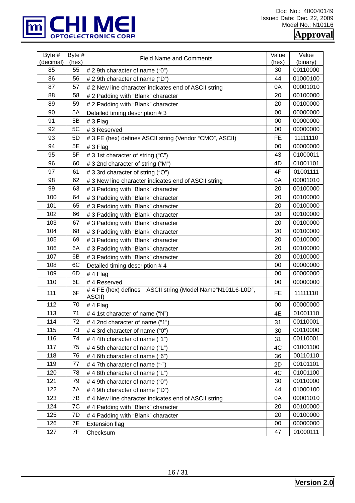

Doc No.: 400040149 Issued Date: Dec. 22, 2009 Model No.: N101L6

**Approval** 

| Byte #<br>(decimal) | Byte #<br>(hex) | <b>Field Name and Comments</b>                                       | Value<br>(hex) | Value<br>(binary) |
|---------------------|-----------------|----------------------------------------------------------------------|----------------|-------------------|
| 85                  | 55              | # 2 9th character of name ("0")                                      | 30             | 00110000          |
| 86                  | 56              | # 2 9th character of name ("D")                                      | 44             | 01000100          |
| 87                  | 57              | # 2 New line character indicates end of ASCII string                 | 0A             | 00001010          |
| 88                  | 58              | # 2 Padding with "Blank" character                                   | 20             | 00100000          |
| 89                  | 59              | # 2 Padding with "Blank" character                                   | 20             | 00100000          |
| 90                  | 5A              | Detailed timing description #3                                       | 00             | 00000000          |
| 91                  | 5B              | #3 Flag                                                              | 00             | 00000000          |
| 92                  | 5C              | #3 Reserved                                                          | 00             | 00000000          |
| 93                  | 5D              | # 3 FE (hex) defines ASCII string (Vendor "CMO", ASCII)              | <b>FE</b>      | 11111110          |
| 94                  | 5E              | # 3 Flag                                                             | 00             | 00000000          |
| 95                  | 5F              | # 3 1st character of string ("C")                                    | 43             | 01000011          |
| 96                  | 60              | # 3 2nd character of string ("M")                                    | 4D             | 01001101          |
| 97                  | 61              | # 3 3rd character of string ("O")                                    | 4F             | 01001111          |
| 98                  | 62              | # 3 New line character indicates end of ASCII string                 | 0A             | 00001010          |
| 99                  | 63              | #3 Padding with "Blank" character                                    | 20             | 00100000          |
| 100                 | 64              | #3 Padding with "Blank" character                                    | 20             | 00100000          |
| 101                 | 65              | # 3 Padding with "Blank" character                                   | 20             | 00100000          |
| 102                 | 66              | #3 Padding with "Blank" character                                    | 20             | 00100000          |
| 103                 | 67              | # 3 Padding with "Blank" character                                   | 20             | 00100000          |
| 104                 | 68              | # 3 Padding with "Blank" character                                   | 20             | 00100000          |
| 105                 | 69              | #3 Padding with "Blank" character                                    | 20             | 00100000          |
| 106                 | 6A              | #3 Padding with "Blank" character                                    | 20             | 00100000          |
| 107                 | 6B              | #3 Padding with "Blank" character                                    | 20             | 00100000          |
| 108                 | 6C              | Detailed timing description #4                                       | 00             | 00000000          |
| 109                 | 6D              | #4 Flag                                                              | 00             | 00000000          |
| 110                 | 6E              | #4 Reserved                                                          | 00             | 00000000          |
| 111                 | 6F              | # 4 FE (hex) defines ASCII string (Model Name"N101L6-L0D",<br>ASCII) | <b>FE</b>      | 11111110          |
| 112                 | 70              | #4 Flag                                                              | 00             | 00000000          |
| 113                 | 71              | #4 1st character of name ("N")                                       | 4E             | 01001110          |
| 114                 | 72              | #4 2nd character of name ("1")                                       | 31             | 00110001          |
| 115                 | 73              | #4 3rd character of name ("0")                                       | 30             | 00110000          |
| 116                 | 74              | #44th character of name ("1")                                        | 31             | 00110001          |
| 117                 | 75              | #45th character of name ("L")                                        | 4C             | 01001100          |
| 118                 | 76              | #4 6th character of name ("6")                                       | 36             | 00110110          |
| 119                 | 77              | #47th character of name ("-")                                        | 2D             | 00101101          |
| 120                 | 78              | #4 8th character of name ("L")                                       | 4C             | 01001100          |
| 121                 | 79              | #4 9th character of name ("0")                                       | 30             | 00110000          |
| 122                 | 7Α              | # 4 9th character of name ("D")                                      | 44             | 01000100          |
| 123                 | 7В              | #4 New line character indicates end of ASCII string                  | 0A             | 00001010          |
| 124                 | 7C              | # 4 Padding with "Blank" character                                   | 20             | 00100000          |
| 125                 | 7D              | # 4 Padding with "Blank" character                                   | 20             | 00100000          |
| 126                 | 7E              | <b>Extension flag</b>                                                | 00             | 00000000          |
| 127                 | 7F              | Checksum                                                             | 47             | 01000111          |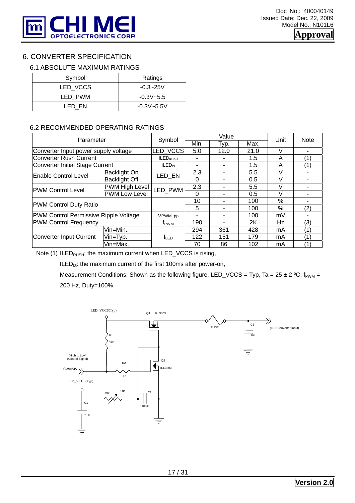

## 6. CONVERTER SPECIFICATION

#### 6.1 ABSOLUTE MAXIMUM RATINGS

| Symbol   | Ratings        |
|----------|----------------|
| LED VCCS | $-0.3 - 25V$   |
| LED PWM  | $-0.3V - 5.5$  |
| LED EN   | $-0.3V - 5.5V$ |

#### 6.2 RECOMMENDED OPERATING RATINGS

| Parameter                             | Symbol                          |                      | Value    |                         | <b>Note</b> |        |     |
|---------------------------------------|---------------------------------|----------------------|----------|-------------------------|-------------|--------|-----|
|                                       |                                 | Min.                 | Typ.     | Max.                    |             |        |     |
| Converter Input power supply voltage  |                                 | LED VCCS             | 5.0      | 12.0                    | 21.0        | V      |     |
| Converter Rush Current                |                                 | ILED <sub>RUSH</sub> |          |                         | 1.5         | A      |     |
|                                       | Converter Initial Stage Current |                      |          |                         | 1.5         | A      |     |
| Enable Control Level                  | Backlight On                    | LED EN               | 2.3      |                         | 5.5         | V      |     |
|                                       | <b>Backlight Off</b>            |                      | $\Omega$ |                         | 0.5         | $\vee$ |     |
| <b>PWM Control Level</b>              | PWM High Level                  | LED PWM              | 2.3      |                         | 5.5         | $\vee$ |     |
|                                       | <b>PWM Low Level</b>            |                      | 0        |                         | 0.5         | $\vee$ |     |
|                                       |                                 |                      | 10       |                         | 100         | $\%$   |     |
| <b>PWM Control Duty Ratio</b>         |                                 |                      | 5        |                         | 100         | %      | (2) |
| PWM Control Permissive Ripple Voltage |                                 | VPWM_pp              |          |                         | 100         | mV     |     |
| <b>PWM Control Frequency</b>          | t <sub>PWM</sub>                | 190                  |          | 2K                      | Hz          | (3)    |     |
|                                       | Vin=Min.                        |                      | 294      | 361                     | 428         | mA     |     |
| Converter Input Current               | Vin=Typ.                        | $I_{LED}$            | 122      | 151                     | 179         | mA     |     |
|                                       | Vin=Max.                        |                      | 70       | Unit<br>86<br>102<br>mA |             |        |     |

Note (1) ILED $_{RUSH}$ : the maximum current when LED\_VCCS is rising,

ILED<sub>IS</sub>: the maximum current of the first 100ms after power-on,

Measurement Conditions: Shown as the following figure. LED\_VCCS = Typ, Ta = 25 ± 2 °C,  $f_{\text{PWM}}$  = 200 Hz, Duty=100%.

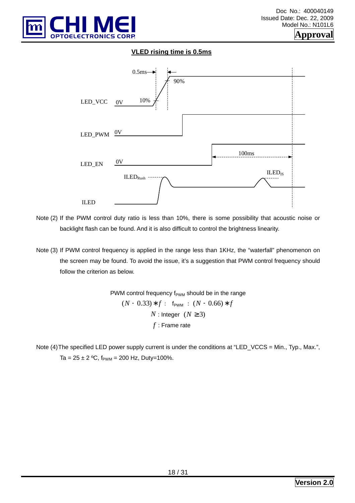

#### **VLED rising time is 0.5ms**



Note (2) If the PWM control duty ratio is less than 10%, there is some possibility that acoustic noise or backlight flash can be found. And it is also difficult to control the brightness linearity.

Note (3) If PWM control frequency is applied in the range less than 1KHz, the "waterfall" phenomenon on the screen may be found. To avoid the issue, it's a suggestion that PWM control frequency should follow the criterion as below.

> PWM control frequency  $f_{\text{PWM}}$  should be in the range  $(N + 0.33) * f$  f from  $(N + 0.66) * f$ *N* : Integer  $(N \ge 3)$ *f* : Frame rate

Note  $(4)$  The specified LED power supply current is under the conditions at "LED VCCS = Min., Typ., Max.", Ta =  $25 \pm 2$  °C,  $f_{\text{PWM}}$  = 200 Hz, Duty=100%.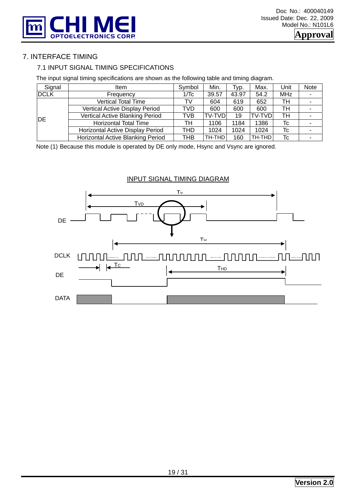

## 7. INTERFACE TIMING

#### 7.1 INPUT SIGNAL TIMING SPECIFICATIONS

The input signal timing specifications are shown as the following table and timing diagram.

| Signal      | ltem                                   | Symbol | Min.          | Typ.  | Max.    | Unit       | Note |
|-------------|----------------------------------------|--------|---------------|-------|---------|------------|------|
| <b>DCLK</b> | Frequency                              | 1/Tc   | 39.57         | 43.97 | 54.2    | <b>MHz</b> |      |
|             | <b>Vertical Total Time</b>             | TV     | 604           | 619   | 652     | тн         |      |
|             | Vertical Active Display Period         | TVD    | 600           | 600   | 600     | TН         |      |
| DE          | <b>Vertical Active Blanking Period</b> | TVB    | <b>TV-TVD</b> | 19    | TV-TVDl | тн         |      |
|             | Horizontal Total Time                  | TН     | 1106          | 1184  | 1386    | Tc         |      |
|             | Horizontal Active Display Period       | THD    | 1024          | 1024  | 1024    | Tc         |      |
|             | Horizontal Active Blanking Period      | тнв    | TH-THD        | 160   | TH-THD  | Tc         |      |

Note (1) Because this module is operated by DE only mode, Hsync and Vsync are ignored.



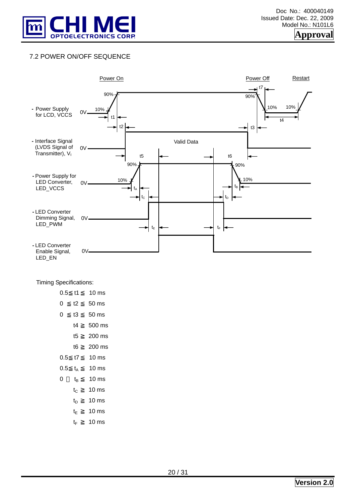

## 7.2 POWER ON/OFF SEQUENCE



#### Timing Specifications:

| 0.5 | t1      | 10 <sub>ms</sub> |
|-----|---------|------------------|
| 0   | t2      | 50 <sub>ms</sub> |
| 0   | tЗ      | 50 ms            |
|     | t4      | 500 ms           |
|     | t5      | 200 ms           |
|     | t6      | 200 ms           |
| 0.5 | t7      | 10 <sub>ms</sub> |
| 0.5 | tΔ      | 10 <sub>ms</sub> |
| 0   | te      | 10 <sub>ms</sub> |
|     | $t_{C}$ | 10 <sub>ms</sub> |
|     | tn      | 10 <sub>ms</sub> |
|     | t⊧      | 10 <sub>ms</sub> |
|     | tF      | 10 ms            |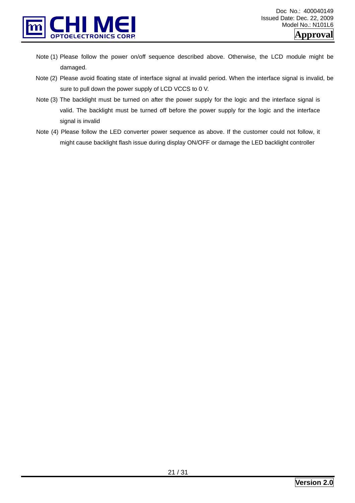

- Note (1) Please follow the power on/off sequence described above. Otherwise, the LCD module might be damaged.
- Note (2) Please avoid floating state of interface signal at invalid period. When the interface signal is invalid, be sure to pull down the power supply of LCD VCCS to 0 V.
- Note (3) The backlight must be turned on after the power supply for the logic and the interface signal is valid. The backlight must be turned off before the power supply for the logic and the interface signal is invalid
- Note (4) Please follow the LED converter power sequence as above. If the customer could not follow, it might cause backlight flash issue during display ON/OFF or damage the LED backlight controller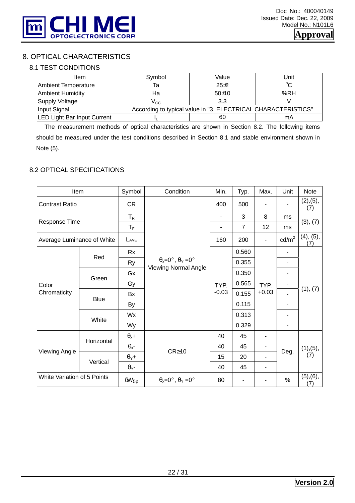

## 8. OPTICAL CHARACTERISTICS

#### 8.1 TEST CONDITIONS

| Item                               | Symbol | Value                                                         | Unit   |
|------------------------------------|--------|---------------------------------------------------------------|--------|
| Ambient Temperature                | la     | $25 + 2$                                                      | $\sim$ |
| <b>Ambient Humidity</b>            | Ha     | $50+10$                                                       | %RH    |
| Supply Voltage                     | Vcc.   | 3.3                                                           |        |
| Input Signal                       |        | According to typical value in "3. ELECTRICAL CHARACTERISTICS" |        |
| <b>LED Light Bar Input Current</b> |        | 60                                                            | mA     |

 The measurement methods of optical characteristics are shown in Section 8.2. The following items should be measured under the test conditions described in Section 8.1 and stable environment shown in Note (5).

#### 8.2 OPTICAL SPECIFICATIONS

| Item                        |             | Symbol                  | Condition                                   | Min.            | Typ.           | Max.            | Unit                     | <b>Note</b>      |
|-----------------------------|-------------|-------------------------|---------------------------------------------|-----------------|----------------|-----------------|--------------------------|------------------|
| <b>Contrast Ratio</b>       |             | CR                      |                                             | 400             | 500            |                 |                          | (2), (5),<br>(7) |
| Response Time               |             | $T_R$                   |                                             | ۰               | 3              | 8               | ms                       |                  |
|                             |             | $T_F$                   |                                             | ۰               | $\overline{7}$ | 12              | ms                       | (3), (7)         |
| Average Luminance of White  |             | LAVE                    |                                             | 160             | 200            |                 | $\text{cd/m}^2$          | (4), (5),<br>(7) |
|                             | Red         | Rx                      |                                             |                 | 0.560          |                 |                          |                  |
| Color<br>Chromaticity       |             | <b>Ry</b>               | $\theta_x = 0^\circ$ , $\theta_y = 0^\circ$ | TYP.<br>$-0.03$ | 0.355          | TYP.<br>$+0.03$ | ٠                        | (1), (7)         |
|                             | Green       | Gx                      | <b>Viewing Normal Angle</b>                 |                 | 0.350          |                 | ٠                        |                  |
|                             |             | Gy                      |                                             |                 | 0.565          |                 | ۰                        |                  |
|                             | <b>Blue</b> | <b>Bx</b>               |                                             |                 | 0.155          |                 |                          |                  |
|                             |             | By                      |                                             |                 | 0.115          |                 |                          |                  |
|                             | White       | Wx                      |                                             |                 | 0.313          |                 |                          |                  |
|                             |             | Wy                      |                                             |                 | 0.329          |                 | $\overline{\phantom{0}}$ |                  |
|                             |             | $\theta_x +$            |                                             | 40              | 45             |                 |                          |                  |
|                             | Horizontal  | $\theta_{x}$ -          |                                             | 40              | 45             | ٠               |                          | (1), (5),        |
| Viewing Angle               |             | $\theta$ <sub>Y</sub> + | $CR \ge 10$                                 | 15              | 20             | ۰               | Deg.                     | (7)              |
|                             | Vertical    | $\theta$ <sub>Y</sub> - |                                             | 40              | 45             | ٠               |                          |                  |
| White Variation of 5 Points |             | $\delta W_{5p}$         | $\theta_x = 0^\circ$ , $\theta_y = 0^\circ$ | 80              |                |                 | $\%$                     | (5), (6),<br>(7) |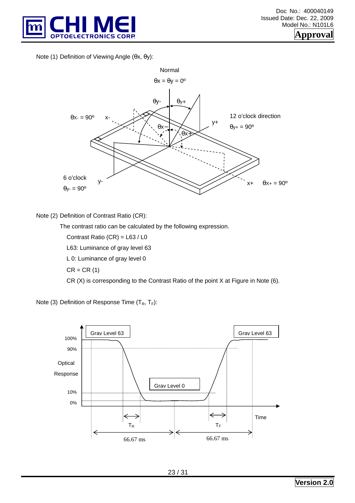

Note (1) Definition of Viewing Angle (θx, θy):



#### Note (2) Definition of Contrast Ratio (CR):

The contrast ratio can be calculated by the following expression.

Contrast Ratio (CR) = L63 / L0

L63: Luminance of gray level 63

L 0: Luminance of gray level 0

 $CR = CR(1)$ 

CR (X) is corresponding to the Contrast Ratio of the point X at Figure in Note (6).

Note (3) Definition of Response Time  $(T_R, T_F)$ :

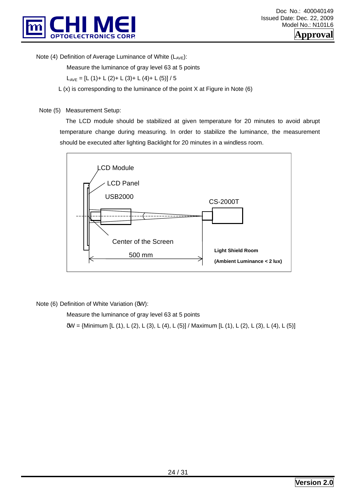

Note (4) Definition of Average Luminance of White  $(L_{AVE})$ :

Measure the luminance of gray level 63 at 5 points

 $L_{AVF} = [L (1) + L (2) + L (3) + L (4) + L (5)] / 5$ 

 $L(x)$  is corresponding to the luminance of the point X at Figure in Note (6)

Note (5) Measurement Setup:

 The LCD module should be stabilized at given temperature for 20 minutes to avoid abrupt temperature change during measuring. In order to stabilize the luminance, the measurement should be executed after lighting Backlight for 20 minutes in a windless room.



Note (6) Definition of White Variation (δW):

Measure the luminance of gray level 63 at 5 points

δW = {Minimum [L (1), L (2), L (3), L (4), L (5)] / Maximum [L (1), L (2), L (3), L (4), L (5)]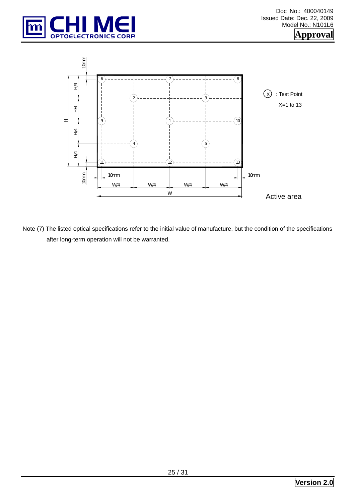



Note (7) The listed optical specifications refer to the initial value of manufacture, but the condition of the specifications after long-term operation will not be warranted.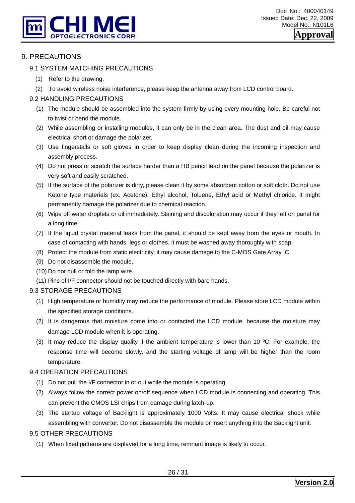

#### 9. PRECAUTIONS

#### 9.1 SYSTEM MATCHING PRECAUTIONS

- (1) Refer to the drawing.
- (2) To avoid wireless noise interference, please keep the antenna away from LCD control board.

#### 9.2 HANDLING PRECAUTIONS

- (1) The module should be assembled into the system firmly by using every mounting hole. Be careful not to twist or bend the module.
- (2) While assembling or installing modules, it can only be in the clean area. The dust and oil may cause electrical short or damage the polarizer.
- (3) Use fingerstalls or soft gloves in order to keep display clean during the incoming inspection and assembly process.
- (4) Do not press or scratch the surface harder than a HB pencil lead on the panel because the polarizer is very soft and easily scratched.
- (5) If the surface of the polarizer is dirty, please clean it by some absorbent cotton or soft cloth. Do not use Ketone type materials (ex. Acetone), Ethyl alcohol, Toluene, Ethyl acid or Methyl chloride. It might permanently damage the polarizer due to chemical reaction.
- (6) Wipe off water droplets or oil immediately. Staining and discoloration may occur if they left on panel for a long time.
- (7) If the liquid crystal material leaks from the panel, it should be kept away from the eyes or mouth. In case of contacting with hands, legs or clothes, it must be washed away thoroughly with soap.
- (8) Protect the module from static electricity, it may cause damage to the C-MOS Gate Array IC.
- (9) Do not disassemble the module.
- (10) Do not pull or fold the lamp wire.
- (11) Pins of I/F connector should not be touched directly with bare hands.

#### 9.3 STORAGE PRECAUTIONS

- (1) High temperature or humidity may reduce the performance of module. Please store LCD module within the specified storage conditions.
- (2) It is dangerous that moisture come into or contacted the LCD module, because the moisture may damage LCD module when it is operating.
- (3) It may reduce the display quality if the ambient temperature is lower than 10 ºC. For example, the response time will become slowly, and the starting voltage of lamp will be higher than the room temperature.

#### 9.4 OPERATION PRECAUTIONS

- (1) Do not pull the I/F connector in or out while the module is operating.
- (2) Always follow the correct power on/off sequence when LCD module is connecting and operating. This can prevent the CMOS LSI chips from damage during latch-up.
- (3) The startup voltage of Backlight is approximately 1000 Volts. It may cause electrical shock while assembling with converter. Do not disassemble the module or insert anything into the Backlight unit.

#### 9.5 OTHER PRECAUTIONS

(1) When fixed patterns are displayed for a long time, remnant image is likely to occur.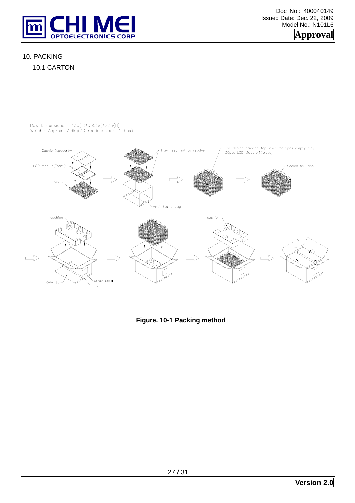

Doc No.: 400040149 Issued Date: Dec. 22, 2009 Model No.: N101L6



#### 10. PACKING



Box Dimensions : 435(L)\*350(W)\*275(H)<br>Weight: Approx. 7.6kg(30 module .per. 1 box)



**Figure. 10-1 Packing method**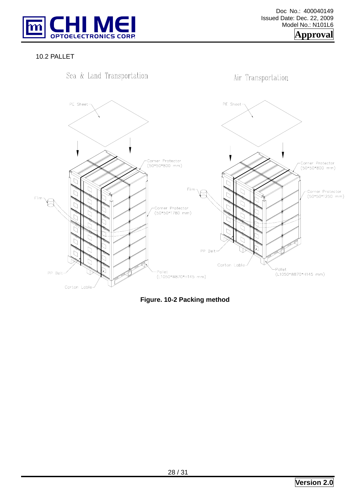

10.2 PALLET



**Figure. 10-2 Packing method**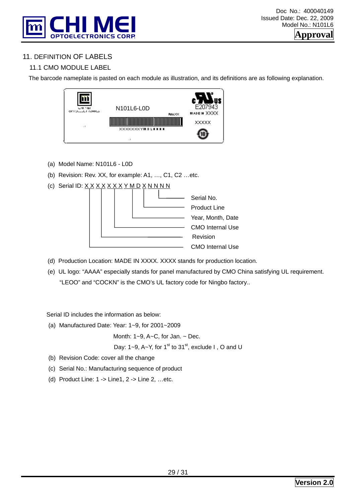

## 11. DEFINITION OF LABELS

## 11.1 CMO MODULE LABEL

The barcode nameplate is pasted on each module as illustration, and its definitions are as following explanation.



- (a) Model Name: N101L6 L0D
- (b) Revision: Rev. XX, for example: A1, …, C1, C2 …etc.
- (c) Serial ID:  $X$  $X$  $X$  $X$  $X$  $X$  $X$  $Y$  $M$  $D$  $X$  $N$  $N$  $N$  $N$



- (d) Production Location: MADE IN XXXX. XXXX stands for production location.
- (e) UL logo: "AAAA" especially stands for panel manufactured by CMO China satisfying UL requirement. "LEOO" and "COCKN" is the CMO's UL factory code for Ningbo factory..

Serial ID includes the information as below:

(a) Manufactured Date: Year: 1~9, for 2001~2009

Month: 1~9, A~C, for Jan. ~ Dec.

Day: 1~9, A~Y, for 1<sup>st</sup> to 31<sup>st</sup>, exclude I, O and U

- (b) Revision Code: cover all the change
- (c) Serial No.: Manufacturing sequence of product
- (d) Product Line: 1 -> Line1, 2 -> Line 2, …etc.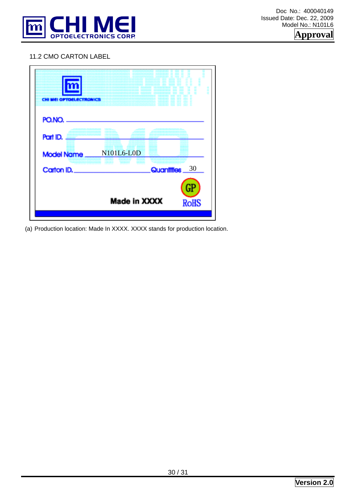

#### 11.2 CMO CARTON LABEL



(a) Production location: Made In XXXX. XXXX stands for production location.